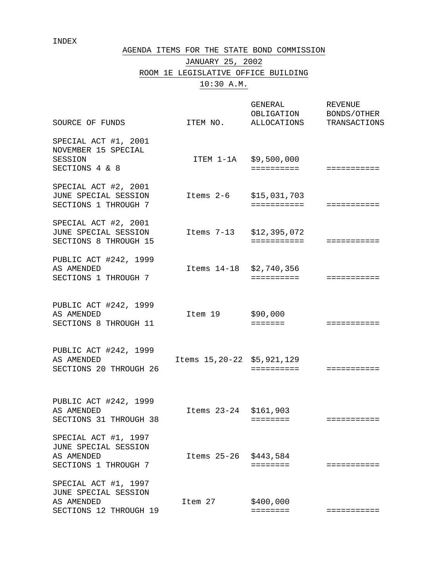#### INDEX

#### AGENDA ITEMS FOR THE STATE BOND COMMISSION

# JANUARY 25, 2002 ROOM 1E LEGISLATIVE OFFICE BUILDING 10:30 A.M.

| SOURCE OF FUNDS                                                                      | ITEM NO.                      | GENERAL<br>OBLIGATION<br>ALLOCATIONS | <b>REVENUE</b><br>BONDS/OTHER<br>TRANSACTIONS |
|--------------------------------------------------------------------------------------|-------------------------------|--------------------------------------|-----------------------------------------------|
| SPECIAL ACT #1, 2001<br>NOVEMBER 15 SPECIAL<br>SESSION<br>SECTIONS 4 & 8             |                               | ITEM 1-1A \$9,500,000<br>==========  | ===========                                   |
| SPECIAL ACT #2, 2001<br>JUNE SPECIAL SESSION<br>SECTIONS 1 THROUGH 7                 | Items 2-6                     | \$15,031,703<br>===========          | ===========                                   |
| SPECIAL ACT #2, 2001<br>JUNE SPECIAL SESSION<br>SECTIONS 8 THROUGH 15                | Items 7-13                    | \$12,395,072<br>===========          | ===========                                   |
| PUBLIC ACT #242, 1999<br>AS AMENDED<br>SECTIONS 1 THROUGH 7                          | Items 14-18                   | \$2,740,356<br>==========            | ===========                                   |
| PUBLIC ACT #242, 1999<br>AS AMENDED<br>SECTIONS 8 THROUGH 11                         | Item 19                       | \$90,000<br>$=$ $=$ $=$ $=$ $=$ $=$  | ===========                                   |
| PUBLIC ACT #242, 1999<br>AS AMENDED<br>SECTIONS 20 THROUGH 26                        | Items 15, 20-22 \$5, 921, 129 | ==========                           | ===========                                   |
| PUBLIC ACT #242, 1999<br>AS AMENDED<br>SECTIONS 31 THROUGH 38                        | Items 23-24 \$161,903         | $=$ = = = = = = =                    | ===========                                   |
| SPECIAL ACT #1, 1997<br>JUNE SPECIAL SESSION<br>AS AMENDED<br>SECTIONS 1 THROUGH 7   | Items 25-26 \$443,584         | ========                             | ===========                                   |
| SPECIAL ACT #1, 1997<br>JUNE SPECIAL SESSION<br>AS AMENDED<br>SECTIONS 12 THROUGH 19 | Item 27                       | \$400,000<br>========                | ===========                                   |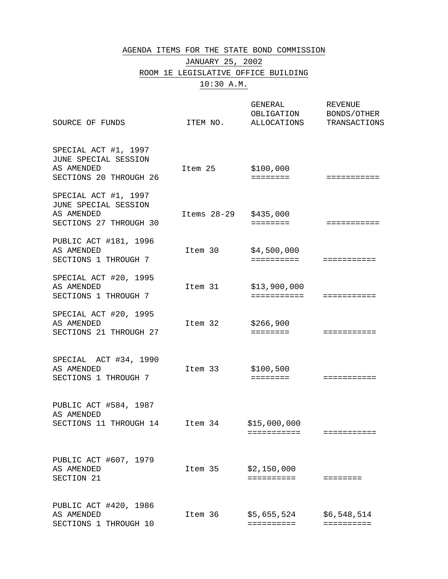#### AGENDA ITEMS FOR THE STATE BOND COMMISSION

# JANUARY 25, 2002 ROOM 1E LEGISLATIVE OFFICE BUILDING 10:30 A.M.

| SOURCE OF FUNDS                                                                      | ITEM NO.      | GENERAL<br>OBLIGATION<br>ALLOCATIONS | <b>REVENUE</b><br>BONDS/OTHER<br>TRANSACTIONS |
|--------------------------------------------------------------------------------------|---------------|--------------------------------------|-----------------------------------------------|
| SPECIAL ACT #1, 1997<br>JUNE SPECIAL SESSION<br>AS AMENDED<br>SECTIONS 20 THROUGH 26 | Item 25       | \$100,000<br>$=$ = = = = = = =       | ===========                                   |
| SPECIAL ACT #1, 1997<br>JUNE SPECIAL SESSION<br>AS AMENDED<br>SECTIONS 27 THROUGH 30 | Items $28-29$ | \$435,000<br>$=$ = = = = = = =       | ===========                                   |
| PUBLIC ACT #181, 1996<br>AS AMENDED<br>SECTIONS 1 THROUGH 7                          | Item 30       | \$4,500,000<br>==========            | ===========                                   |
| SPECIAL ACT #20, 1995<br>AS AMENDED<br>SECTIONS 1 THROUGH 7                          | Item 31       | \$13,900,000<br>===========          | ===========                                   |
| SPECIAL ACT #20, 1995<br>AS AMENDED<br>SECTIONS 21 THROUGH 27                        | Item 32       | \$266,900                            | ===========                                   |
| SPECIAL ACT #34, 1990<br>AS AMENDED<br>SECTIONS 1 THROUGH 7                          | Item 33       | \$100,500<br>$=$ = = = = = = =       | ===========                                   |
| PUBLIC ACT #584, 1987<br>AS AMENDED<br>SECTIONS 11 THROUGH 14                        | Item 34       | \$15,000,000<br>===========          | ===========                                   |
| PUBLIC ACT #607, 1979<br>AS AMENDED<br>SECTION 21                                    | Item 35       | \$2,150,000<br>==========            | ========                                      |
| PUBLIC ACT #420, 1986<br>AS AMENDED<br>SECTIONS 1 THROUGH 10                         | Item 36       | \$5,655,524<br>==========            | \$6,548,514<br>==========                     |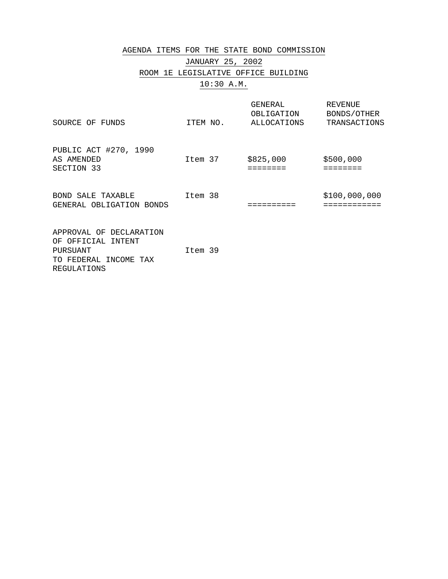#### AGENDA ITEMS FOR THE STATE BOND COMMISSION

# JANUARY 25, 2002 ROOM 1E LEGISLATIVE OFFICE BUILDING 10:30 A.M.

| SOURCE OF FUNDS                                                                                   | ITEM NO. | GENERAL<br>OBLIGATION<br>ALLOCATIONS | REVENUE<br>BONDS/OTHER<br>TRANSACTIONS |
|---------------------------------------------------------------------------------------------------|----------|--------------------------------------|----------------------------------------|
| PUBLIC ACT #270, 1990<br>AS AMENDED<br>SECTION 33                                                 | Item 37  | \$825,000<br>======                  | \$500,000                              |
| BOND SALE TAXABLE<br>GENERAL OBLIGATION BONDS                                                     | Item 38  |                                      | \$100,000,000                          |
| APPROVAL OF DECLARATION<br>OF OFFICIAL INTENT<br>PURSUANT<br>TO FEDERAL INCOME TAX<br>REGULATIONS | Item 39  |                                      |                                        |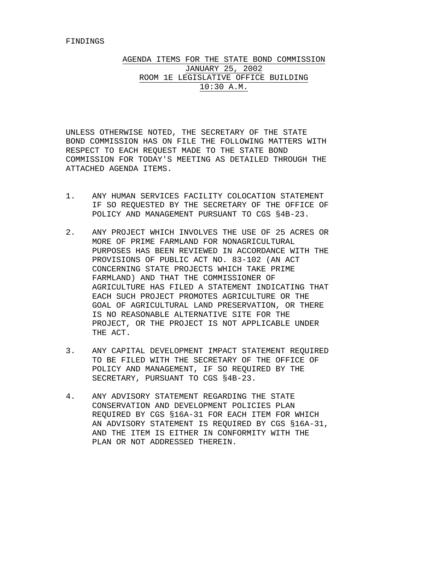AGENDA ITEMS FOR THE STATE BOND COMMISSION JANUARY 25, 2002 ROOM 1E LEGISLATIVE OFFICE BUILDING 10:30 A.M.

UNLESS OTHERWISE NOTED, THE SECRETARY OF THE STATE BOND COMMISSION HAS ON FILE THE FOLLOWING MATTERS WITH RESPECT TO EACH REQUEST MADE TO THE STATE BOND COMMISSION FOR TODAY'S MEETING AS DETAILED THROUGH THE ATTACHED AGENDA ITEMS.

- 1. ANY HUMAN SERVICES FACILITY COLOCATION STATEMENT IF SO REQUESTED BY THE SECRETARY OF THE OFFICE OF POLICY AND MANAGEMENT PURSUANT TO CGS §4B-23.
- 2. ANY PROJECT WHICH INVOLVES THE USE OF 25 ACRES OR MORE OF PRIME FARMLAND FOR NONAGRICULTURAL PURPOSES HAS BEEN REVIEWED IN ACCORDANCE WITH THE PROVISIONS OF PUBLIC ACT NO. 83-102 (AN ACT CONCERNING STATE PROJECTS WHICH TAKE PRIME FARMLAND) AND THAT THE COMMISSIONER OF AGRICULTURE HAS FILED A STATEMENT INDICATING THAT EACH SUCH PROJECT PROMOTES AGRICULTURE OR THE GOAL OF AGRICULTURAL LAND PRESERVATION, OR THERE IS NO REASONABLE ALTERNATIVE SITE FOR THE PROJECT, OR THE PROJECT IS NOT APPLICABLE UNDER THE ACT.
- 3. ANY CAPITAL DEVELOPMENT IMPACT STATEMENT REQUIRED TO BE FILED WITH THE SECRETARY OF THE OFFICE OF POLICY AND MANAGEMENT, IF SO REQUIRED BY THE SECRETARY, PURSUANT TO CGS §4B-23.
- 4. ANY ADVISORY STATEMENT REGARDING THE STATE CONSERVATION AND DEVELOPMENT POLICIES PLAN REQUIRED BY CGS §16A-31 FOR EACH ITEM FOR WHICH AN ADVISORY STATEMENT IS REQUIRED BY CGS §16A-31, AND THE ITEM IS EITHER IN CONFORMITY WITH THE PLAN OR NOT ADDRESSED THEREIN.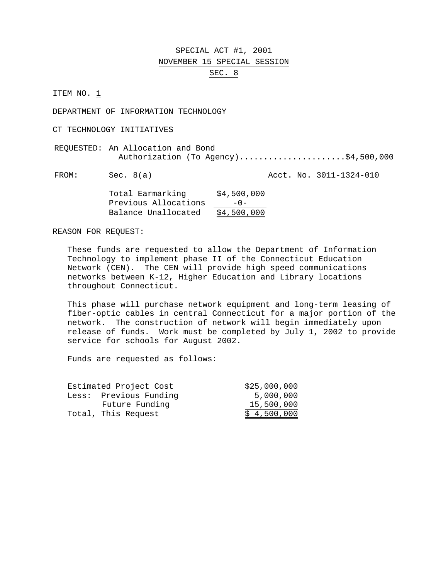#### SPECIAL ACT #1, 2001 NOVEMBER 15 SPECIAL SESSION SEC. 8

ITEM NO. 1

DEPARTMENT OF INFORMATION TECHNOLOGY

CT TECHNOLOGY INITIATIVES

REQUESTED: An Allocation and Bond Authorization (To Agency).......................\$4,500,000

FROM: Sec. 8(a) Acct. No. 3011-1324-010

| Total Earmarking     | \$4,500,000 |
|----------------------|-------------|
| Previous Allocations | $-0-$       |
| Balance Unallocated  | \$4,500,000 |

REASON FOR REQUEST:

These funds are requested to allow the Department of Information Technology to implement phase II of the Connecticut Education Network (CEN). The CEN will provide high speed communications networks between K-12, Higher Education and Library locations throughout Connecticut.

This phase will purchase network equipment and long-term leasing of fiber-optic cables in central Connecticut for a major portion of the network. The construction of network will begin immediately upon release of funds. Work must be completed by July 1, 2002 to provide service for schools for August 2002.

Funds are requested as follows:

| Estimated Project Cost | \$25,000,000 |
|------------------------|--------------|
| Less: Previous Funding | 5,000,000    |
| Future Funding         | 15,500,000   |
| Total, This Request    | \$4,500,000  |
|                        |              |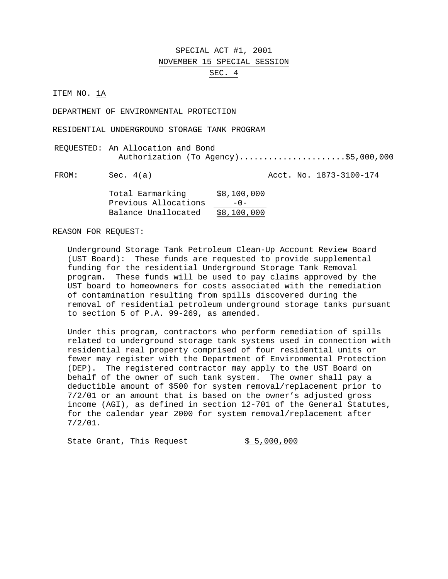SPECIAL ACT #1, 2001 NOVEMBER 15 SPECIAL SESSION SEC. 4

ITEM NO. 1A

DEPARTMENT OF ENVIRONMENTAL PROTECTION

RESIDENTIAL UNDERGROUND STORAGE TANK PROGRAM

REQUESTED: An Allocation and Bond Authorization (To Agency)......................\$5,000,000

FROM: Sec. 4(a) Acct. No. 1873-3100-174

| Total Earmarking     | \$8,100,000 |
|----------------------|-------------|
| Previous Allocations | $-0-$       |
| Balance Unallocated  | \$8,100,000 |

REASON FOR REQUEST:

Underground Storage Tank Petroleum Clean-Up Account Review Board (UST Board): These funds are requested to provide supplemental funding for the residential Underground Storage Tank Removal program. These funds will be used to pay claims approved by the UST board to homeowners for costs associated with the remediation of contamination resulting from spills discovered during the removal of residential petroleum underground storage tanks pursuant to section 5 of P.A. 99-269, as amended.

Under this program, contractors who perform remediation of spills related to underground storage tank systems used in connection with residential real property comprised of four residential units or fewer may register with the Department of Environmental Protection (DEP). The registered contractor may apply to the UST Board on behalf of the owner of such tank system. The owner shall pay a deductible amount of \$500 for system removal/replacement prior to 7/2/01 or an amount that is based on the owner's adjusted gross income (AGI), as defined in section 12-701 of the General Statutes, for the calendar year 2000 for system removal/replacement after 7/2/01.

State Grant, This Request  $\frac{1}{5}$ ,  $\frac{5}{000}$ , 000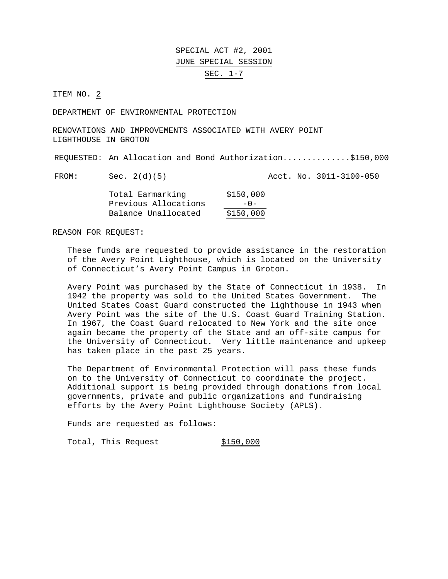ITEM NO. 2

DEPARTMENT OF ENVIRONMENTAL PROTECTION

RENOVATIONS AND IMPROVEMENTS ASSOCIATED WITH AVERY POINT LIGHTHOUSE IN GROTON

REQUESTED: An Allocation and Bond Authorization..............\$150,000

FROM: Sec. 2(d)(5) Acct. No. 3011-3100-050

| Total Earmarking     | \$150,000 |
|----------------------|-----------|
| Previous Allocations | $-0-$     |
| Balance Unallocated  | \$150,000 |

REASON FOR REQUEST:

These funds are requested to provide assistance in the restoration of the Avery Point Lighthouse, which is located on the University of Connecticut's Avery Point Campus in Groton.

Avery Point was purchased by the State of Connecticut in 1938. In 1942 the property was sold to the United States Government. The United States Coast Guard constructed the lighthouse in 1943 when Avery Point was the site of the U.S. Coast Guard Training Station. In 1967, the Coast Guard relocated to New York and the site once again became the property of the State and an off-site campus for the University of Connecticut. Very little maintenance and upkeep has taken place in the past 25 years.

The Department of Environmental Protection will pass these funds on to the University of Connecticut to coordinate the project. Additional support is being provided through donations from local governments, private and public organizations and fundraising efforts by the Avery Point Lighthouse Society (APLS).

Funds are requested as follows:

Total, This Request 6150,000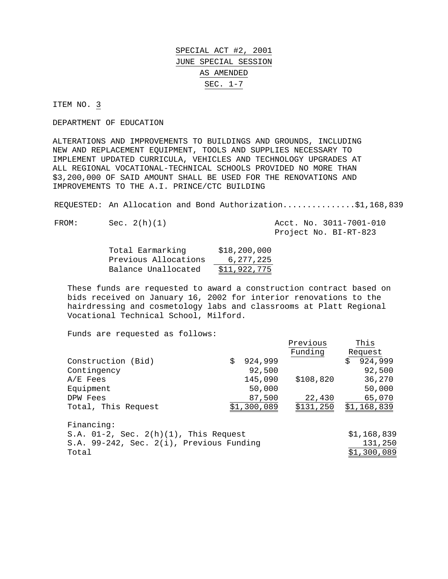ITEM NO. 3

DEPARTMENT OF EDUCATION

ALTERATIONS AND IMPROVEMENTS TO BUILDINGS AND GROUNDS, INCLUDING NEW AND REPLACEMENT EQUIPMENT, TOOLS AND SUPPLIES NECESSARY TO IMPLEMENT UPDATED CURRICULA, VEHICLES AND TECHNOLOGY UPGRADES AT ALL REGIONAL VOCATIONAL-TECHNICAL SCHOOLS PROVIDED NO MORE THAN \$3,200,000 OF SAID AMOUNT SHALL BE USED FOR THE RENOVATIONS AND IMPROVEMENTS TO THE A.I. PRINCE/CTC BUILDING

REQUESTED: An Allocation and Bond Authorization...............\$1,168,839

FROM: Sec. 2(h)(1) Acct. No. 3011-7001-010 Project No. BI-RT-823

| Total Earmarking     | \$18, 200, 000 |
|----------------------|----------------|
| Previous Allocations | 6, 277, 225    |
| Balance Unallocated  | \$11,922,775   |

These funds are requested to award a construction contract based on bids received on January 16, 2002 for interior renovations to the hairdressing and cosmetology labs and classrooms at Platt Regional Vocational Technical School, Milford.

Funds are requested as follows:

|                                             |               | Previous  | This          |
|---------------------------------------------|---------------|-----------|---------------|
|                                             |               | Funding   | Request       |
| Construction (Bid)                          | \$<br>924,999 |           | \$<br>924,999 |
| Contingency                                 | 92,500        |           | 92,500        |
| $A/E$ Fees                                  | 145,090       | \$108,820 | 36,270        |
| Equipment                                   | 50,000        |           | 50,000        |
| DPW Fees                                    | 87,500        | 22,430    | 65,070        |
| Total, This Request                         | \$1,300,089   | \$131,250 | \$1,168,839   |
| Financing:                                  |               |           |               |
| S.A. $01-2$ , Sec. $2(h)(1)$ , This Request |               |           | \$1,168,839   |
| S.A. 99-242, Sec. 2(i), Previous Funding    |               |           | 131,250       |
| Total                                       |               |           | \$1,300,089   |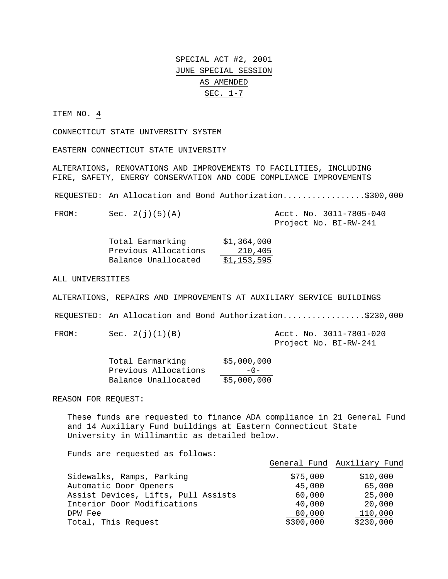ITEM NO. 4

CONNECTICUT STATE UNIVERSITY SYSTEM

EASTERN CONNECTICUT STATE UNIVERSITY

ALTERATIONS, RENOVATIONS AND IMPROVEMENTS TO FACILITIES, INCLUDING FIRE, SAFETY, ENERGY CONSERVATION AND CODE COMPLIANCE IMPROVEMENTS

REQUESTED: An Allocation and Bond Authorization.................\$300,000

FROM: Sec. 2(j)(5)(A) Acct. No. 3011-7805-040

Project No. BI-RW-241

| Total Earmarking     | \$1,364,000 |
|----------------------|-------------|
| Previous Allocations | 210,405     |
| Balance Unallocated  | \$1,153,595 |

ALL UNIVERSITIES

ALTERATIONS, REPAIRS AND IMPROVEMENTS AT AUXILIARY SERVICE BUILDINGS

REQUESTED: An Allocation and Bond Authorization.................\$230,000

FROM: Sec. 2(j)(1)(B) Acct. No. 3011-7801-020

Project No. BI-RW-241

| Total Earmarking     | \$5,000,000 |
|----------------------|-------------|
| Previous Allocations | $-0-$       |
| Balance Unallocated  | \$5,000,000 |

REASON FOR REQUEST:

These funds are requested to finance ADA compliance in 21 General Fund and 14 Auxiliary Fund buildings at Eastern Connecticut State University in Willimantic as detailed below.

Funds are requested as follows:

|                                     |           | General Fund Auxiliary Fund |
|-------------------------------------|-----------|-----------------------------|
| Sidewalks, Ramps, Parking           | \$75,000  | \$10,000                    |
| Automatic Door Openers              | 45,000    | 65,000                      |
| Assist Devices, Lifts, Pull Assists | 60,000    | 25,000                      |
| Interior Door Modifications         | 40,000    | 20,000                      |
| DPW Fee                             | 80,000    | 110,000                     |
| Total, This Request                 | \$300,000 | \$230,000                   |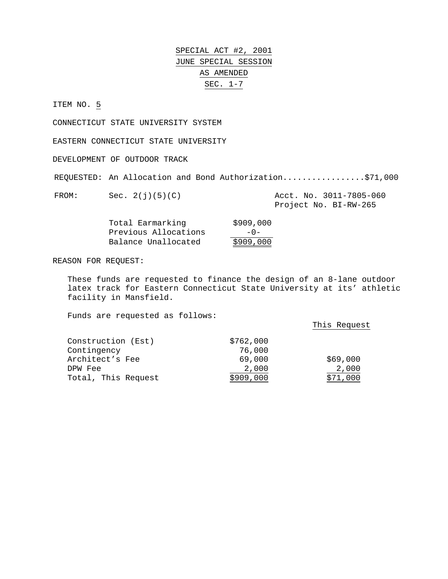ITEM NO. 5

CONNECTICUT STATE UNIVERSITY SYSTEM

EASTERN CONNECTICUT STATE UNIVERSITY

DEVELOPMENT OF OUTDOOR TRACK

REQUESTED: An Allocation and Bond Authorization....................\$71,000

FROM: Sec. 2(j)(5)(C) Acct. No. 3011-7805-060

Project No. BI-RW-265

| Total Earmarking     | \$909,000 |
|----------------------|-----------|
| Previous Allocations | $-0-$     |
| Balance Unallocated  | \$909,000 |

REASON FOR REQUEST:

These funds are requested to finance the design of an 8-lane outdoor latex track for Eastern Connecticut State University at its' athletic facility in Mansfield.

Funds are requested as follows:

This Request

| Construction (Est)  | \$762,000 |          |
|---------------------|-----------|----------|
| Contingency         | 76,000    |          |
| Architect's Fee     | 69,000    | \$69,000 |
| DPW Fee             | 2,000     | 2,000    |
| Total, This Request | \$909,000 | \$71,000 |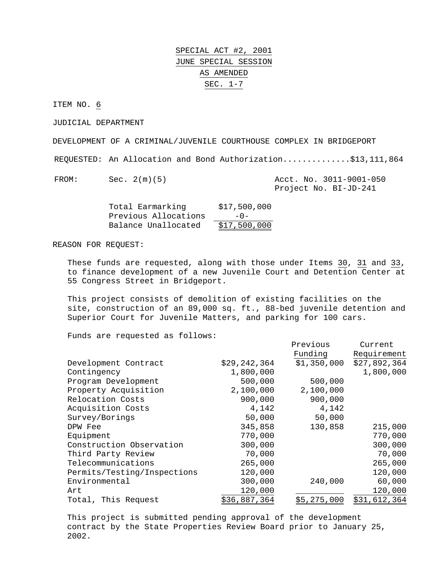ITEM NO. 6

JUDICIAL DEPARTMENT

DEVELOPMENT OF A CRIMINAL/JUVENILE COURTHOUSE COMPLEX IN BRIDGEPORT

REQUESTED: An Allocation and Bond Authorization..............\$13,111,864

FROM: Sec. 2(m)(5) Acct. No. 3011-9001-050 Project No. BI-JD-241

| Total Earmarking     | \$17,500,000 |
|----------------------|--------------|
| Previous Allocations | $-0-$        |
| Balance Unallocated  | \$17,500,000 |

REASON FOR REQUEST:

These funds are requested, along with those under Items 30, 31 and 33, to finance development of a new Juvenile Court and Detention Center at 55 Congress Street in Bridgeport.

This project consists of demolition of existing facilities on the site, construction of an 89,000 sq. ft., 88-bed juvenile detention and Superior Court for Juvenile Matters, and parking for 100 cars.

Funds are requested as follows:

|                             |                | Previous    | Current      |
|-----------------------------|----------------|-------------|--------------|
|                             |                | Funding     | Requirement  |
| Development Contract        | \$29, 242, 364 | \$1,350,000 | \$27,892,364 |
| Contingency                 | 1,800,000      |             | 1,800,000    |
| Program Development         | 500,000        | 500,000     |              |
| Property Acquisition        | 2,100,000      | 2,100,000   |              |
| Relocation Costs            | 900,000        | 900,000     |              |
| Acquisition Costs           | 4,142          | 4,142       |              |
| Survey/Borings              | 50,000         | 50,000      |              |
| DPW Fee                     | 345,858        | 130,858     | 215,000      |
| Equipment                   | 770,000        |             | 770,000      |
| Construction Observation    | 300,000        |             | 300,000      |
| Third Party Review          | 70,000         |             | 70,000       |
| Telecommunications          | 265,000        |             | 265,000      |
| Permits/Testing/Inspections | 120,000        |             | 120,000      |
| Environmental               | 300,000        | 240,000     | 60,000       |
| Art                         | 120,000        |             | 120,000      |
| Total, This Request         | \$36,887,364   | \$5,275,000 | \$31,612,364 |

 This project is submitted pending approval of the development contract by the State Properties Review Board prior to January 25, 2002.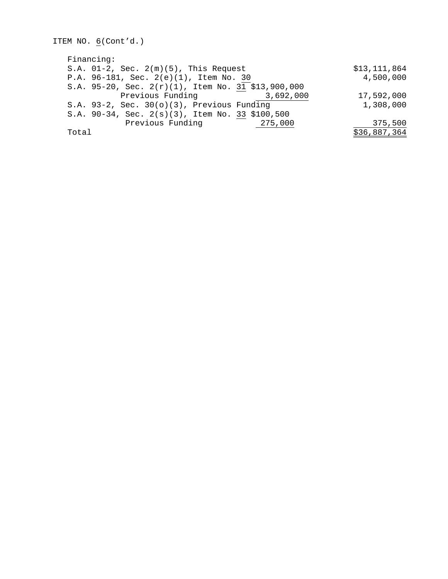```
ITEM NO. 6(Cont'd.)
Financing:
S.A. 01-2, Sec. 2(m)(5), This Request $13,111,864
P.A. 96-181, Sec. 2(e)(1), Item No. 30 4,500,000
S.A. 95-20, Sec. 2(r)(1), Item No. 31 $13,900,000
        Previous Funding 3,692,000 17,592,000
S.A. 93-2, Sec. 30(o)(3), Previous Funding 1,308,000
S.A. 90-34, Sec. 2(s)(3), Item No. 33 $100,500
        Previous Funding 275,000 275,000 375,500
Total $36,887,364
```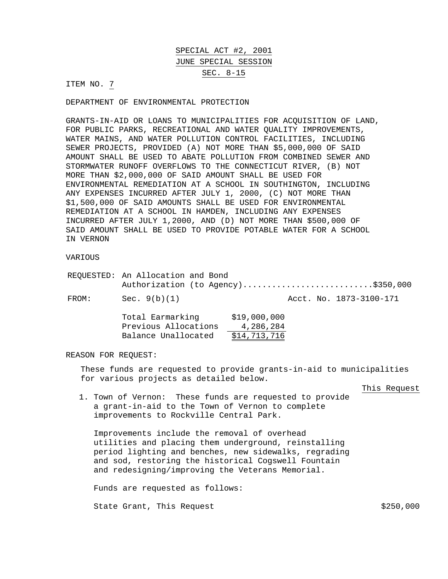SPECIAL ACT #2, 2001 JUNE SPECIAL SESSION SEC. 8-15

ITEM NO. 7

DEPARTMENT OF ENVIRONMENTAL PROTECTION

GRANTS-IN-AID OR LOANS TO MUNICIPALITIES FOR ACQUISITION OF LAND, FOR PUBLIC PARKS, RECREATIONAL AND WATER QUALITY IMPROVEMENTS, WATER MAINS, AND WATER POLLUTION CONTROL FACILITIES, INCLUDING SEWER PROJECTS, PROVIDED (A) NOT MORE THAN \$5,000,000 OF SAID AMOUNT SHALL BE USED TO ABATE POLLUTION FROM COMBINED SEWER AND STORMWATER RUNOFF OVERFLOWS TO THE CONNECTICUT RIVER, (B) NOT MORE THAN \$2,000,000 OF SAID AMOUNT SHALL BE USED FOR ENVIRONMENTAL REMEDIATION AT A SCHOOL IN SOUTHINGTON, INCLUDING ANY EXPENSES INCURRED AFTER JULY 1, 2000, (C) NOT MORE THAN \$1,500,000 OF SAID AMOUNTS SHALL BE USED FOR ENVIRONMENTAL REMEDIATION AT A SCHOOL IN HAMDEN, INCLUDING ANY EXPENSES INCURRED AFTER JULY 1,2000, AND (D) NOT MORE THAN \$500,000 OF SAID AMOUNT SHALL BE USED TO PROVIDE POTABLE WATER FOR A SCHOOL IN VERNON

#### VARIOUS

|       | REQUESTED: An Allocation and Bond        |                                    |
|-------|------------------------------------------|------------------------------------|
|       |                                          | Authorization (to Agency)\$350,000 |
| FROM: | Sec. $9(b)(1)$                           | Acct. No. 1873-3100-171            |
|       | Total Earmarking<br>Previous Allocations | \$19,000,000<br>4,286,284          |

# Balance Unallocated \$14,713,716

#### REASON FOR REQUEST:

These funds are requested to provide grants-in-aid to municipalities for various projects as detailed below.

This Request

1. Town of Vernon: These funds are requested to provide a grant-in-aid to the Town of Vernon to complete improvements to Rockville Central Park.

Improvements include the removal of overhead utilities and placing them underground, reinstalling period lighting and benches, new sidewalks, regrading and sod, restoring the historical Cogswell Fountain and redesigning/improving the Veterans Memorial.

Funds are requested as follows:

State Grant, This Request  $$250,000$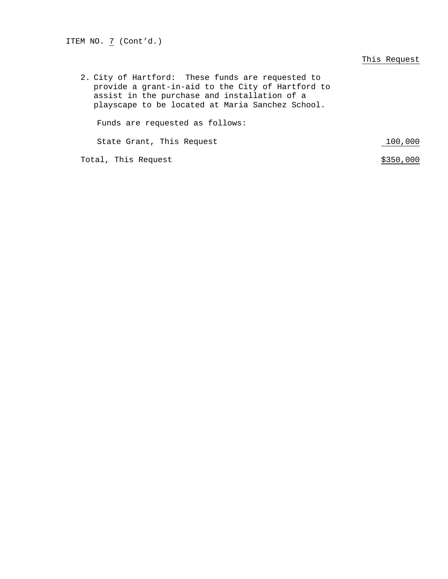ITEM NO. 7 (Cont'd.)

#### This Request

2. City of Hartford: These funds are requested to provide a grant-in-aid to the City of Hartford to assist in the purchase and installation of a playscape to be located at Maria Sanchez School. Funds are requested as follows:

State Grant, This Request 100,000

Total, This Request  $\frac{$350,000}{ }$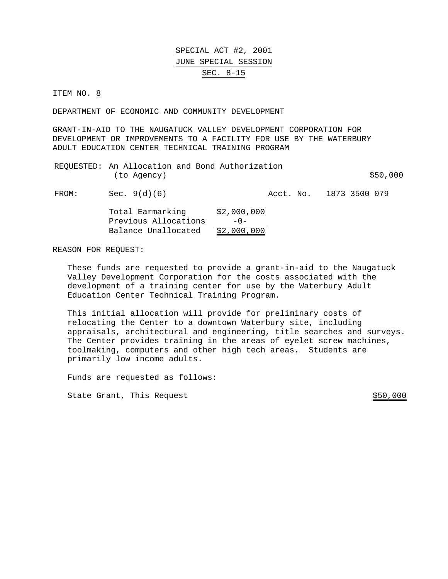#### SPECIAL ACT #2, 2001 JUNE SPECIAL SESSION SEC. 8-15

ITEM NO. 8

DEPARTMENT OF ECONOMIC AND COMMUNITY DEVELOPMENT

GRANT-IN-AID TO THE NAUGATUCK VALLEY DEVELOPMENT CORPORATION FOR DEVELOPMENT OR IMPROVEMENTS TO A FACILITY FOR USE BY THE WATERBURY ADULT EDUCATION CENTER TECHNICAL TRAINING PROGRAM

| REQUESTED: An Allocation and Bond Authorization |  |          |
|-------------------------------------------------|--|----------|
| (to Agency)                                     |  | \$50,000 |

FROM: Sec. 9(d)(6) Acct. No. 1873 3500 079

| Total Earmarking     | \$2,000,000 |
|----------------------|-------------|
| Previous Allocations | $-0-$       |
| Balance Unallocated  | \$2,000,000 |

REASON FOR REQUEST:

These funds are requested to provide a grant-in-aid to the Naugatuck Valley Development Corporation for the costs associated with the development of a training center for use by the Waterbury Adult Education Center Technical Training Program.

This initial allocation will provide for preliminary costs of relocating the Center to a downtown Waterbury site, including appraisals, architectural and engineering, title searches and surveys. The Center provides training in the areas of eyelet screw machines, toolmaking, computers and other high tech areas. Students are primarily low income adults.

Funds are requested as follows:

State Grant, This Request  $$50,000$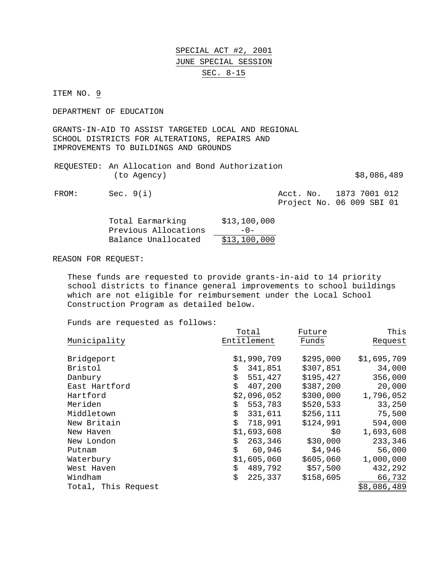### SPECIAL ACT #2, 2001 JUNE SPECIAL SESSION SEC. 8-15

ITEM NO. 9

DEPARTMENT OF EDUCATION

GRANTS-IN-AID TO ASSIST TARGETED LOCAL AND REGIONAL SCHOOL DISTRICTS FOR ALTERATIONS, REPAIRS AND IMPROVEMENTS TO BUILDINGS AND GROUNDS

|             | REQUESTED: An Allocation and Bond Authorization |             |
|-------------|-------------------------------------------------|-------------|
| (to Agency) |                                                 | \$8,086,489 |

FROM: Sec. 9(i) Acct. No. 1873 7001 012 Project No. 06 009 SBI 01

| Total Earmarking     | \$13,100,000         |
|----------------------|----------------------|
| Previous Allocations | $-0-$                |
| Balance Unallocated  | <u>\$13,10</u> 0,000 |

#### REASON FOR REQUEST:

These funds are requested to provide grants-in-aid to 14 priority school districts to finance general improvements to school buildings which are not eligible for reimbursement under the Local School Construction Program as detailed below.

Funds are requested as follows:

|                     | Total         | Future    | This        |
|---------------------|---------------|-----------|-------------|
| Municipality        | Entitlement   | Funds     | Request     |
| Bridgeport          | \$1,990,709   | \$295,000 | \$1,695,709 |
| <b>Bristol</b>      | 341,851<br>\$ | \$307,851 | 34,000      |
| Danbury             | \$<br>551,427 | \$195,427 | 356,000     |
| East Hartford       | \$<br>407,200 | \$387,200 | 20,000      |
| Hartford            | \$2,096,052   | \$300,000 | 1,796,052   |
| Meriden             | \$<br>553,783 | \$520,533 | 33,250      |
| Middletown          | 331,611       | \$256,111 | 75,500      |
| New Britain         | \$<br>718,991 | \$124,991 | 594,000     |
| New Haven           | \$1,693,608   | \$0       | 1,693,608   |
| New London          | 263,346<br>\$ | \$30,000  | 233,346     |
| Putnam              | \$<br>60,946  | \$4,946   | 56,000      |
| Waterbury           | \$1,605,060   | \$605,060 | 1,000,000   |
| West Haven          | 489,792<br>\$ | \$57,500  | 432,292     |
| Windham             | \$<br>225,337 | \$158,605 | 66,732      |
| Total, This Request |               |           | \$8,086,489 |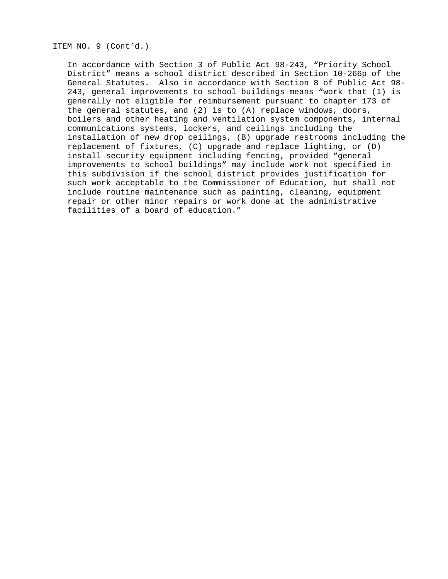ITEM NO. 9 (Cont'd.)

In accordance with Section 3 of Public Act 98-243, "Priority School District" means a school district described in Section 10-266p of the General Statutes. Also in accordance with Section 8 of Public Act 98- 243, general improvements to school buildings means "work that (1) is generally not eligible for reimbursement pursuant to chapter 173 of the general statutes, and (2) is to (A) replace windows, doors, boilers and other heating and ventilation system components, internal communications systems, lockers, and ceilings including the installation of new drop ceilings, (B) upgrade restrooms including the replacement of fixtures, (C) upgrade and replace lighting, or (D) install security equipment including fencing, provided "general improvements to school buildings" may include work not specified in this subdivision if the school district provides justification for such work acceptable to the Commissioner of Education, but shall not include routine maintenance such as painting, cleaning, equipment repair or other minor repairs or work done at the administrative facilities of a board of education."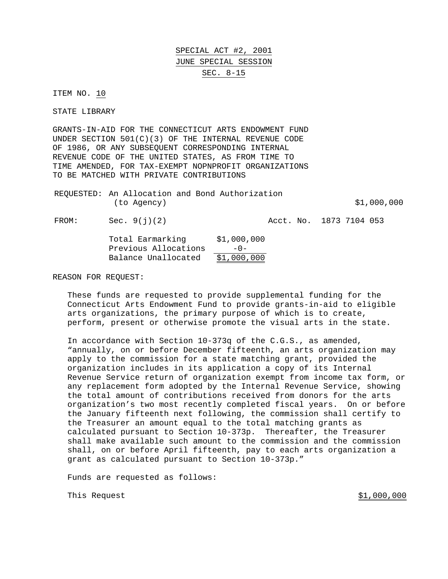SPECIAL ACT #2, 2001 JUNE SPECIAL SESSION SEC. 8-15

ITEM NO. 10

STATE LIBRARY

GRANTS-IN-AID FOR THE CONNECTICUT ARTS ENDOWMENT FUND UNDER SECTION 501(C)(3) OF THE INTERNAL REVENUE CODE OF 1986, OR ANY SUBSEQUENT CORRESPONDING INTERNAL REVENUE CODE OF THE UNITED STATES, AS FROM TIME TO TIME AMENDED, FOR TAX-EXEMPT NOPNPROFIT ORGANIZATIONS TO BE MATCHED WITH PRIVATE CONTRIBUTIONS

| REQUESTED: An Allocation and Bond Authorization |             |
|-------------------------------------------------|-------------|
| (to Agency)                                     | \$1,000,000 |

FROM: Sec. 9(j)(2) Acct. No. 1873 7104 053

| Total Earmarking     | \$1,000,000 |
|----------------------|-------------|
| Previous Allocations | $-0-$       |
| Balance Unallocated  | \$1,000,000 |

REASON FOR REQUEST:

These funds are requested to provide supplemental funding for the Connecticut Arts Endowment Fund to provide grants-in-aid to eligible arts organizations, the primary purpose of which is to create, perform, present or otherwise promote the visual arts in the state.

In accordance with Section 10-373q of the C.G.S., as amended, "annually, on or before December fifteenth, an arts organization may apply to the commission for a state matching grant, provided the organization includes in its application a copy of its Internal Revenue Service return of organization exempt from income tax form, or any replacement form adopted by the Internal Revenue Service, showing the total amount of contributions received from donors for the arts organization's two most recently completed fiscal years. On or before the January fifteenth next following, the commission shall certify to the Treasurer an amount equal to the total matching grants as calculated pursuant to Section 10-373p. Thereafter, the Treasurer shall make available such amount to the commission and the commission shall, on or before April fifteenth, pay to each arts organization a grant as calculated pursuant to Section 10-373p."

Funds are requested as follows:

This Request  $$1,000,000$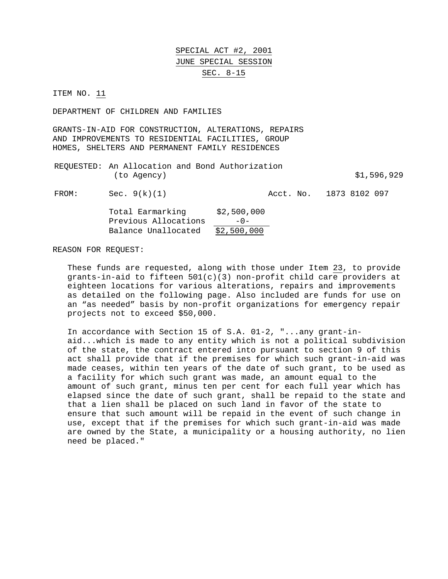SPECIAL ACT #2, 2001 JUNE SPECIAL SESSION SEC. 8-15

ITEM NO. 11

DEPARTMENT OF CHILDREN AND FAMILIES

GRANTS-IN-AID FOR CONSTRUCTION, ALTERATIONS, REPAIRS AND IMPROVEMENTS TO RESIDENTIAL FACILITIES, GROUP HOMES, SHELTERS AND PERMANENT FAMILY RESIDENCES

REQUESTED: An Allocation and Bond Authorization (to Agency) \$1,596,929

FROM: Sec. 9(k)(1) Acct. No. 1873 8102 097

| Total Earmarking     | \$2,500,000 |
|----------------------|-------------|
| Previous Allocations | $-0-$       |
| Balance Unallocated  | \$2,500,000 |

REASON FOR REQUEST:

These funds are requested, along with those under Item 23, to provide grants-in-aid to fifteen 501(c)(3) non-profit child care providers at eighteen locations for various alterations, repairs and improvements as detailed on the following page. Also included are funds for use on an "as needed" basis by non-profit organizations for emergency repair projects not to exceed \$50,000.

In accordance with Section 15 of S.A. 01-2, "...any grant-inaid...which is made to any entity which is not a political subdivision of the state, the contract entered into pursuant to section 9 of this act shall provide that if the premises for which such grant-in-aid was made ceases, within ten years of the date of such grant, to be used as a facility for which such grant was made, an amount equal to the amount of such grant, minus ten per cent for each full year which has elapsed since the date of such grant, shall be repaid to the state and that a lien shall be placed on such land in favor of the state to ensure that such amount will be repaid in the event of such change in use, except that if the premises for which such grant-in-aid was made are owned by the State, a municipality or a housing authority, no lien need be placed."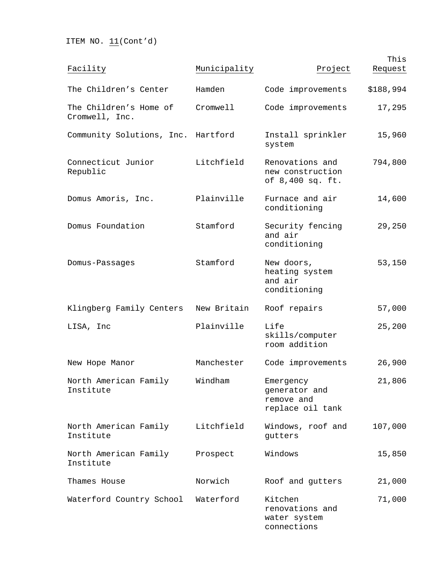ITEM NO.  $11$  (Cont'd)

| Facility                                 | Municipality | Project                                                      | This<br>Request |
|------------------------------------------|--------------|--------------------------------------------------------------|-----------------|
| The Children's Center                    | Hamden       | Code improvements                                            | \$188,994       |
| The Children's Home of<br>Cromwell, Inc. | Cromwell     | Code improvements                                            | 17,295          |
| Community Solutions, Inc. Hartford       |              | Install sprinkler<br>system                                  | 15,960          |
| Connecticut Junior<br>Republic           | Litchfield   | Renovations and<br>new construction<br>of 8,400 sq. ft.      | 794,800         |
| Domus Amoris, Inc.                       | Plainville   | Furnace and air<br>conditioning                              | 14,600          |
| Domus Foundation                         | Stamford     | Security fencing<br>and air<br>conditioning                  | 29,250          |
| Domus-Passages                           | Stamford     | New doors,<br>heating system<br>and air<br>conditioning      | 53,150          |
| Klingberg Family Centers                 | New Britain  | Roof repairs                                                 | 57,000          |
| LISA, Inc                                | Plainville   | Life<br>skills/computer<br>room addition                     | 25,200          |
| New Hope Manor                           | Manchester   | Code improvements                                            | 26,900          |
| North American Family<br>Institute       | Windham      | Emergency<br>generator and<br>remove and<br>replace oil tank | 21,806          |
| North American Family<br>Institute       | Litchfield   | Windows, roof and<br>gutters                                 | 107,000         |
| North American Family<br>Institute       | Prospect     | Windows                                                      | 15,850          |
| Thames House                             | Norwich      | Roof and gutters                                             | 21,000          |
| Waterford Country School                 | Waterford    | Kitchen<br>renovations and<br>water system<br>connections    | 71,000          |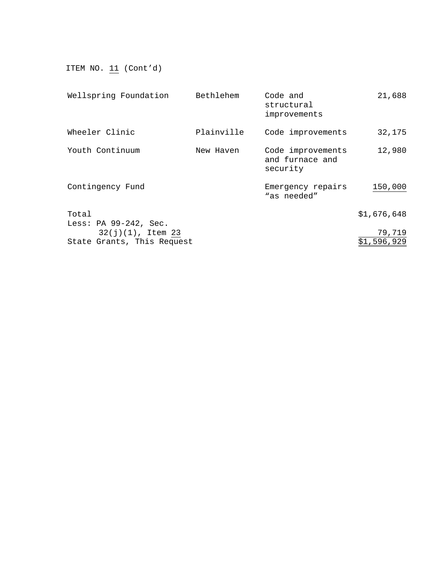ITEM NO.  $11$  (Cont'd)

| Bethlehem                  | Code and<br>structural<br>improvements           | 21,688                |
|----------------------------|--------------------------------------------------|-----------------------|
| Plainville                 | Code improvements                                | 32,175                |
| New Haven                  | Code improvements<br>and furnace and<br>security | 12,980                |
|                            | Emergency repairs<br>"as needed"                 | 150,000               |
|                            |                                                  | \$1,676,648           |
| State Grants, This Request |                                                  | 79,719<br>\$1,596,929 |
|                            |                                                  |                       |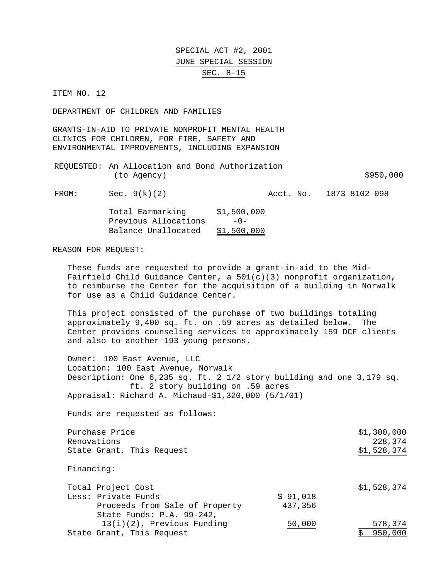SPECIAL ACT #2, 2001 JUNE SPECIAL SESSION SEC. 8-15

ITEM NO. 12

DEPARTMENT OF CHILDREN AND FAMILIES

GRANTS-IN-AID TO PRIVATE NONPROFIT MENTAL HEALTH CLINICS FOR CHILDREN, FOR FIRE, SAFETY AND ENVIRONMENTAL IMPROVEMENTS, INCLUDING EXPANSION

REQUESTED: An Allocation and Bond Authorization  $(to \text{ Agency})$   $$950,000$ 

FROM: Sec. 9(k)(2) Acct. No. 1873 8102 098

| Total Earmarking     | \$1,500,000 |
|----------------------|-------------|
| Previous Allocations | $-0-$       |
| Balance Unallocated  | \$1,500,000 |

REASON FOR REQUEST:

These funds are requested to provide a grant-in-aid to the Mid-Fairfield Child Guidance Center, a 501(c)(3) nonprofit organization, to reimburse the Center for the acquisition of a building in Norwalk for use as a Child Guidance Center.

This project consisted of the purchase of two buildings totaling approximately 9,400 sq. ft. on .59 acres as detailed below. The Center provides counseling services to approximately 159 DCF clients and also to another 193 young persons.

Owner: 100 East Avenue, LLC Location: 100 East Avenue, Norwalk Description: One 6,235 sq. ft. 2 1/2 story building and one 3,179 sq. ft. 2 story building on .59 acres Appraisal: Richard A. Michaud-\$1,320,000 (5/1/01)

Funds are requested as follows:

Purchase Price  $$1,300,000$ Renovations 228,374 State Grant, This Request  $$1,528,374$ Financing: Total Project Cost  $$1,528,374$ Less: Private Funds  $\qquad \qquad$  \$ 91,018 Proceeds from Sale of Property 437,356 State Funds: P.A. 99-242, 13(i)(2), Previous Funding 50,000 578,374 State Grant, This Request  $\frac{1}{2}$  850,000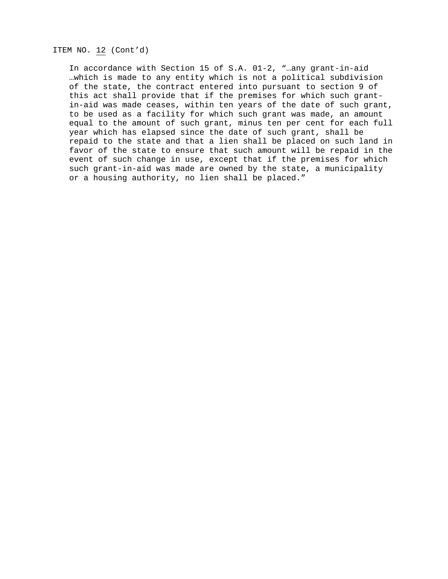ITEM NO. 12 (Cont'd)

In accordance with Section 15 of S.A. 01-2, "…any grant-in-aid …which is made to any entity which is not a political subdivision of the state, the contract entered into pursuant to section 9 of this act shall provide that if the premises for which such grantin-aid was made ceases, within ten years of the date of such grant, to be used as a facility for which such grant was made, an amount equal to the amount of such grant, minus ten per cent for each full year which has elapsed since the date of such grant, shall be repaid to the state and that a lien shall be placed on such land in favor of the state to ensure that such amount will be repaid in the event of such change in use, except that if the premises for which such grant-in-aid was made are owned by the state, a municipality or a housing authority, no lien shall be placed."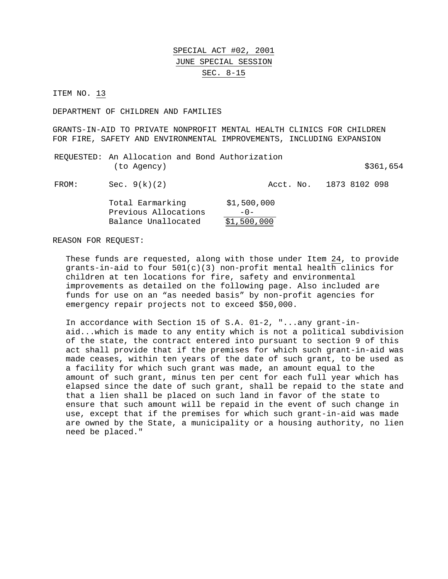#### SPECIAL ACT #02, 2001 JUNE SPECIAL SESSION SEC. 8-15

ITEM NO. 13

DEPARTMENT OF CHILDREN AND FAMILIES

GRANTS-IN-AID TO PRIVATE NONPROFIT MENTAL HEALTH CLINICS FOR CHILDREN FOR FIRE, SAFETY AND ENVIRONMENTAL IMPROVEMENTS, INCLUDING EXPANSION

REQUESTED: An Allocation and Bond Authorization  $(to Agency)$  \$361,654

FROM: Sec. 9(k)(2) Acct. No. 1873 8102 098

| Total Earmarking     | \$1,500,000 |
|----------------------|-------------|
| Previous Allocations | $-0-$       |
| Balance Unallocated  | \$1,500,000 |

REASON FOR REQUEST:

These funds are requested, along with those under Item 24, to provide grants-in-aid to four  $501(c)(3)$  non-profit mental health clinics for children at ten locations for fire, safety and environmental improvements as detailed on the following page. Also included are funds for use on an "as needed basis" by non-profit agencies for emergency repair projects not to exceed \$50,000.

In accordance with Section 15 of S.A. 01-2, "...any grant-inaid...which is made to any entity which is not a political subdivision of the state, the contract entered into pursuant to section 9 of this act shall provide that if the premises for which such grant-in-aid was made ceases, within ten years of the date of such grant, to be used as a facility for which such grant was made, an amount equal to the amount of such grant, minus ten per cent for each full year which has elapsed since the date of such grant, shall be repaid to the state and that a lien shall be placed on such land in favor of the state to ensure that such amount will be repaid in the event of such change in use, except that if the premises for which such grant-in-aid was made are owned by the State, a municipality or a housing authority, no lien need be placed."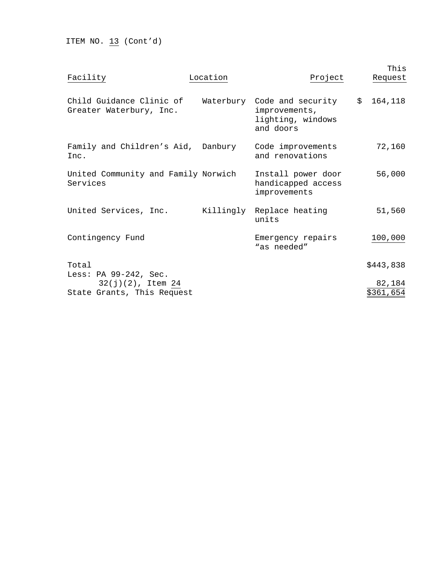ITEM NO.  $13$  (Cont'd)

| Facility                                                                    | Location | Project                                                                        | This<br>Request     |
|-----------------------------------------------------------------------------|----------|--------------------------------------------------------------------------------|---------------------|
| Child Guidance Clinic of<br>Greater Waterbury, Inc.                         |          | Waterbury Code and security<br>improvements,<br>lighting, windows<br>and doors | \$164,118           |
| Family and Children's Aid, Danbury<br>Inc.                                  |          | Code improvements<br>and renovations                                           | 72,160              |
| United Community and Family Norwich<br>Services                             |          | Install power door<br>handicapped access<br>improvements                       | 56,000              |
| United Services, Inc.                                                       |          | Killingly Replace heating<br>units                                             | 51,560              |
| Contingency Fund                                                            |          | Emergency repairs<br>"as needed"                                               | 100,000             |
| Total                                                                       |          |                                                                                | \$443,838           |
| Less: PA 99-242, Sec.<br>$32(j)(2)$ , Item 24<br>State Grants, This Request |          |                                                                                | 82,184<br>\$361,654 |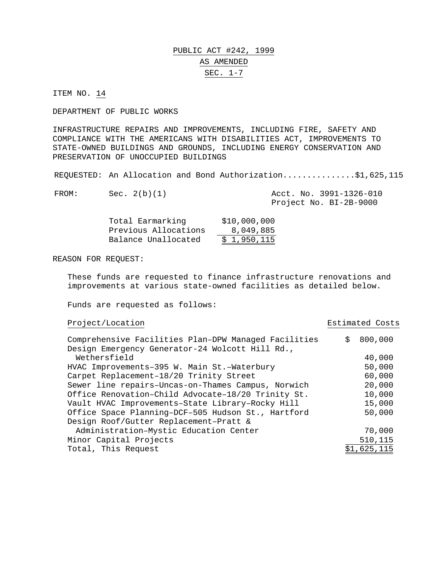### PUBLIC ACT #242, 1999 AS AMENDED SEC. 1-7

ITEM NO. 14

DEPARTMENT OF PUBLIC WORKS

INFRASTRUCTURE REPAIRS AND IMPROVEMENTS, INCLUDING FIRE, SAFETY AND COMPLIANCE WITH THE AMERICANS WITH DISABILITIES ACT, IMPROVEMENTS TO STATE-OWNED BUILDINGS AND GROUNDS, INCLUDING ENERGY CONSERVATION AND PRESERVATION OF UNOCCUPIED BUILDINGS

REQUESTED: An Allocation and Bond Authorization...............\$1,625,115

| FROM: | Sec. 2(b)(1) |  | Acct. No. 3991-1326-010 |
|-------|--------------|--|-------------------------|
|       |              |  | Project No. BI-2B-9000  |

| Total Earmarking     | \$10,000,000 |
|----------------------|--------------|
| Previous Allocations | 8,049,885    |
| Balance Unallocated  | \$1,950,115  |

#### REASON FOR REQUEST:

These funds are requested to finance infrastructure renovations and improvements at various state-owned facilities as detailed below.

Funds are requested as follows:

#### Project/Location Estimated Costs

| Comprehensive Facilities Plan-DPW Managed Facilities | Ŝ. | 800,000     |
|------------------------------------------------------|----|-------------|
| Design Emergency Generator-24 Wolcott Hill Rd.,      |    |             |
| Wethersfield                                         |    | 40,000      |
| HVAC Improvements-395 W. Main St.-Waterbury          |    | 50,000      |
| Carpet Replacement-18/20 Trinity Street              |    | 60,000      |
| Sewer line repairs-Uncas-on-Thames Campus, Norwich   |    | 20,000      |
| Office Renovation-Child Advocate-18/20 Trinity St.   |    | 10,000      |
| Vault HVAC Improvements-State Library-Rocky Hill     |    | 15,000      |
| Office Space Planning-DCF-505 Hudson St., Hartford   |    | 50,000      |
| Design Roof/Gutter Replacement-Pratt &               |    |             |
| Administration-Mystic Education Center               |    | 70,000      |
| Minor Capital Projects                               |    | 510,115     |
| Total, This Request                                  |    | \$1,625,115 |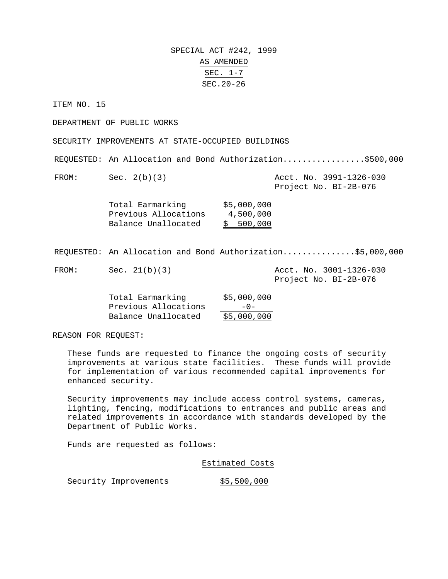SPECIAL ACT #242, 1999 AS AMENDED SEC. 1-7 SEC.20-26

ITEM NO. 15

DEPARTMENT OF PUBLIC WORKS

SECURITY IMPROVEMENTS AT STATE-OCCUPIED BUILDINGS

REQUESTED: An Allocation and Bond Authorization.................\$500,000

FROM: Sec. 2(b)(3) Acct. No. 3991-1326-030 Project No. BI-2B-076

| Total Earmarking     | \$5,000,000 |
|----------------------|-------------|
| Previous Allocations | 4,500,000   |
| Balance Unallocated  | \$500,000   |

REQUESTED: An Allocation and Bond Authorization...............\$5,000,000

FROM: Sec. 21(b)(3) Acct. No. 3001-1326-030

Project No. BI-2B-076

| Total Earmarking     | \$5,000,000 |
|----------------------|-------------|
| Previous Allocations | $-0-$       |
| Balance Unallocated  | \$5,000,000 |

REASON FOR REQUEST:

These funds are requested to finance the ongoing costs of security improvements at various state facilities. These funds will provide for implementation of various recommended capital improvements for enhanced security.

Security improvements may include access control systems, cameras, lighting, fencing, modifications to entrances and public areas and related improvements in accordance with standards developed by the Department of Public Works.

Funds are requested as follows:

Estimated Costs

Security Improvements  $$5,500,000$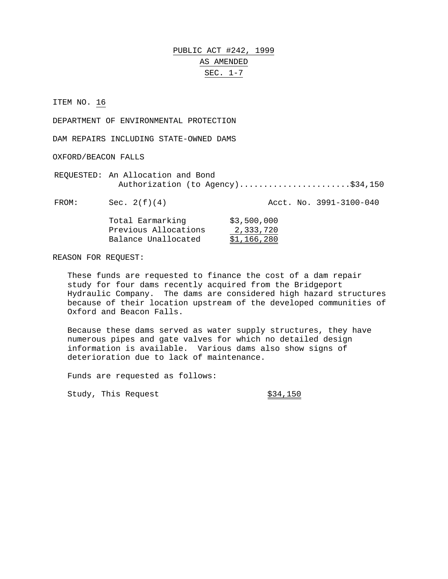# PUBLIC ACT #242, 1999 AS AMENDED SEC. 1-7

ITEM NO. 16

DEPARTMENT OF ENVIRONMENTAL PROTECTION

DAM REPAIRS INCLUDING STATE-OWNED DAMS

OXFORD/BEACON FALLS

REQUESTED: An Allocation and Bond Authorization (to Agency)........................\$34,150

FROM: Sec. 2(f)(4) Acct. No. 3991-3100-040

| Total Earmarking     | \$3,500,000 |
|----------------------|-------------|
| Previous Allocations | 2,333,720   |
| Balance Unallocated  | \$1,166,280 |

REASON FOR REQUEST:

These funds are requested to finance the cost of a dam repair study for four dams recently acquired from the Bridgeport Hydraulic Company. The dams are considered high hazard structures because of their location upstream of the developed communities of Oxford and Beacon Falls.

Because these dams served as water supply structures, they have numerous pipes and gate valves for which no detailed design information is available. Various dams also show signs of deterioration due to lack of maintenance.

Funds are requested as follows:

Study, This Request  $\frac{$34,150}{ }$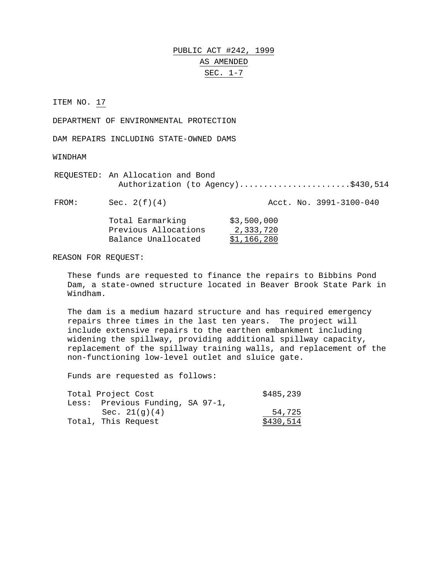# PUBLIC ACT #242, 1999 AS AMENDED SEC. 1-7

ITEM NO. 17

DEPARTMENT OF ENVIRONMENTAL PROTECTION

DAM REPAIRS INCLUDING STATE-OWNED DAMS

WINDHAM

REQUESTED: An Allocation and Bond Authorization (to Agency)........................\$430,514

FROM: Sec. 2(f)(4) Acct. No. 3991-3100-040 Total Earmarking \$3,500,000

| Previous Allocations | 2,333,720   |
|----------------------|-------------|
| Balance Unallocated  | \$1,166,280 |

REASON FOR REQUEST:

These funds are requested to finance the repairs to Bibbins Pond Dam, a state-owned structure located in Beaver Brook State Park in Windham.

The dam is a medium hazard structure and has required emergency repairs three times in the last ten years. The project will include extensive repairs to the earthen embankment including widening the spillway, providing additional spillway capacity, replacement of the spillway training walls, and replacement of the non-functioning low-level outlet and sluice gate.

Funds are requested as follows:

| Total Project Cost               | \$485,239 |
|----------------------------------|-----------|
| Less: Previous Funding, SA 97-1, |           |
| Sec. $21(q)(4)$                  | 54,725    |
| Total, This Request              | \$430,514 |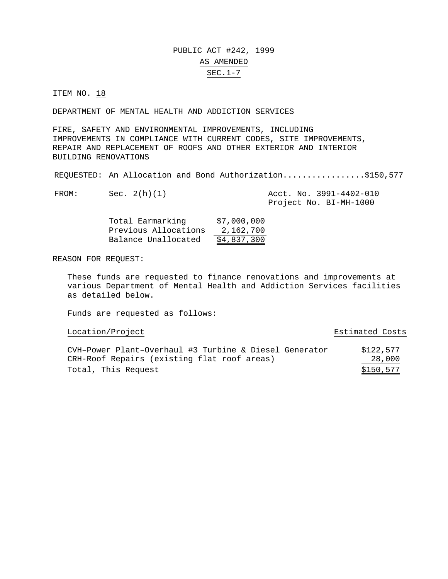### PUBLIC ACT #242, 1999 AS AMENDED SEC.1-7

ITEM NO. 18

DEPARTMENT OF MENTAL HEALTH AND ADDICTION SERVICES

FIRE, SAFETY AND ENVIRONMENTAL IMPROVEMENTS, INCLUDING IMPROVEMENTS IN COMPLIANCE WITH CURRENT CODES, SITE IMPROVEMENTS, REPAIR AND REPLACEMENT OF ROOFS AND OTHER EXTERIOR AND INTERIOR BUILDING RENOVATIONS

REQUESTED: An Allocation and Bond Authorization.................\$150,577

| FROM: | Sec. $2(h)(1)$ |  | Acct. No. 3991-4402-010 |
|-------|----------------|--|-------------------------|
|       |                |  | Project No. BI-MH-1000  |

| Total Earmarking     | \$7,000,000 |
|----------------------|-------------|
| Previous Allocations | 2,162,700   |
| Balance Unallocated  | \$4,837,300 |

REASON FOR REQUEST:

These funds are requested to finance renovations and improvements at various Department of Mental Health and Addiction Services facilities as detailed below.

Funds are requested as follows:

Location/Project and Estimated Costs

| CVH-Power Plant-Overhaul #3 Turbine & Diesel Generator | \$122,577 |
|--------------------------------------------------------|-----------|
| CRH-Roof Repairs (existing flat roof areas)            | 28,000    |
| Total, This Request                                    | \$150,577 |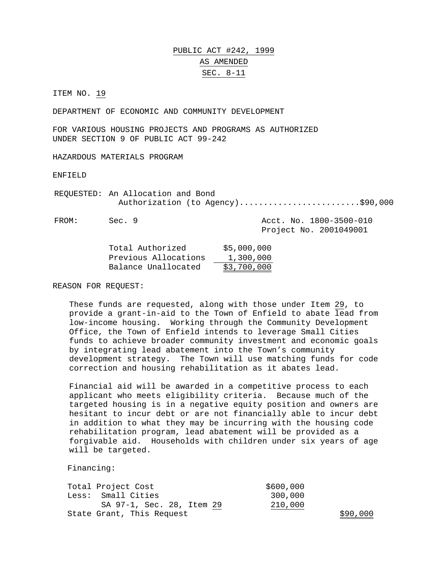### PUBLIC ACT #242, 1999 AS AMENDED SEC. 8-11

ITEM NO. 19

DEPARTMENT OF ECONOMIC AND COMMUNITY DEVELOPMENT

FOR VARIOUS HOUSING PROJECTS AND PROGRAMS AS AUTHORIZED UNDER SECTION 9 OF PUBLIC ACT 99-242

HAZARDOUS MATERIALS PROGRAM

ENFIELD

REQUESTED: An Allocation and Bond Authorization (to Agency).........................\$90,000

FROM: Sec. 9 Acct. No. 1800-3500-010 Project No. 2001049001

| Total Authorized     | \$5,000,000 |
|----------------------|-------------|
| Previous Allocations | 1,300,000   |
| Balance Unallocated  | \$3,700,000 |

REASON FOR REQUEST:

These funds are requested, along with those under Item 29, to provide a grant-in-aid to the Town of Enfield to abate lead from low-income housing. Working through the Community Development Office, the Town of Enfield intends to leverage Small Cities funds to achieve broader community investment and economic goals by integrating lead abatement into the Town's community development strategy. The Town will use matching funds for code correction and housing rehabilitation as it abates lead.

Financial aid will be awarded in a competitive process to each applicant who meets eligibility criteria. Because much of the targeted housing is in a negative equity position and owners are hesitant to incur debt or are not financially able to incur debt in addition to what they may be incurring with the housing code rehabilitation program, lead abatement will be provided as a forgivable aid. Households with children under six years of age will be targeted.

Financing:

| Total Project Cost        | \$600,000 |
|---------------------------|-----------|
| Less: Small Cities        | 300,000   |
| SA 97-1, Sec. 28, Item 29 | 210,000   |
| State Grant, This Request |           |

 $$90,000$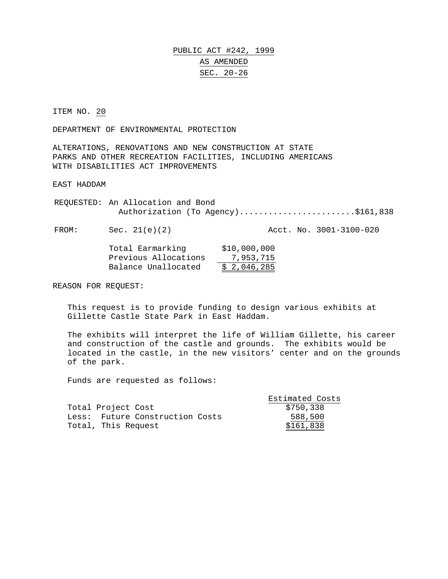PUBLIC ACT #242, 1999 AS AMENDED SEC. 20-26

ITEM NO. 20

DEPARTMENT OF ENVIRONMENTAL PROTECTION

ALTERATIONS, RENOVATIONS AND NEW CONSTRUCTION AT STATE PARKS AND OTHER RECREATION FACILITIES, INCLUDING AMERICANS WITH DISABILITIES ACT IMPROVEMENTS

EAST HADDAM

REQUESTED: An Allocation and Bond Authorization (To Agency)........................\$161,838

FROM: Sec. 21(e)(2) Acct. No. 3001-3100-020

| Total Earmarking     | \$10,000,000 |
|----------------------|--------------|
| Previous Allocations | 7,953,715    |
| Balance Unallocated  | \$2,046,285  |

REASON FOR REQUEST:

This request is to provide funding to design various exhibits at Gillette Castle State Park in East Haddam.

The exhibits will interpret the life of William Gillette, his career and construction of the castle and grounds. The exhibits would be located in the castle, in the new visitors' center and on the grounds of the park.

Funds are requested as follows:

|                                 | Estimated Costs |
|---------------------------------|-----------------|
| Total Project Cost              | \$750,338       |
| Less: Future Construction Costs | 588,500         |
| Total, This Request             | \$161,838       |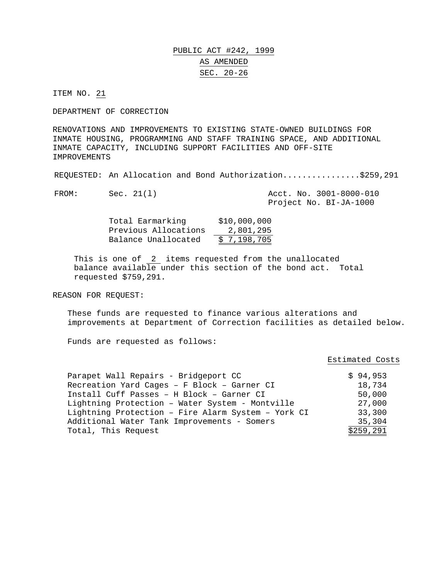### PUBLIC ACT #242, 1999 AS AMENDED SEC. 20-26

ITEM NO. 21

DEPARTMENT OF CORRECTION

RENOVATIONS AND IMPROVEMENTS TO EXISTING STATE-OWNED BUILDINGS FOR INMATE HOUSING, PROGRAMMING AND STAFF TRAINING SPACE, AND ADDITIONAL INMATE CAPACITY, INCLUDING SUPPORT FACILITIES AND OFF-SITE IMPROVEMENTS

REQUESTED: An Allocation and Bond Authorization................\$259,291

| FROM: | Sec. 21(1) |  | Acct. No. 3001-8000-010 |
|-------|------------|--|-------------------------|
|       |            |  | Project No. BI-JA-1000  |

| Total Earmarking     | \$10,000,000 |
|----------------------|--------------|
| Previous Allocations | 2,801,295    |
| Balance Unallocated  | \$7,198,705  |

This is one of 2 items requested from the unallocated balance available under this section of the bond act. Total requested \$759,291.

REASON FOR REQUEST:

These funds are requested to finance various alterations and improvements at Department of Correction facilities as detailed below.

Funds are requested as follows:

#### Estimated Costs

| Parapet Wall Repairs - Bridgeport CC               | \$94,953  |
|----------------------------------------------------|-----------|
| Recreation Yard Cages - F Block - Garner CI        | 18,734    |
| Install Cuff Passes - H Block - Garner CI          | 50,000    |
| Lightning Protection - Water System - Montville    | 27,000    |
| Lightning Protection - Fire Alarm System - York CI | 33,300    |
| Additional Water Tank Improvements - Somers        | 35,304    |
| Total, This Request                                | \$259,291 |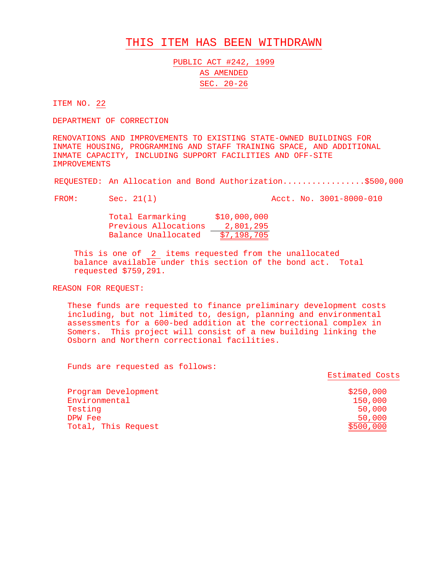#### THIS ITEM HAS BEEN WITHDRAWN

PUBLIC ACT #242, 1999 AS AMENDED SEC. 20-26

ITEM NO. 22

DEPARTMENT OF CORRECTION

RENOVATIONS AND IMPROVEMENTS TO EXISTING STATE-OWNED BUILDINGS FOR INMATE HOUSING, PROGRAMMING AND STAFF TRAINING SPACE, AND ADDITIONAL INMATE CAPACITY, INCLUDING SUPPORT FACILITIES AND OFF-SITE IMPROVEMENTS

REQUESTED: An Allocation and Bond Authorization.................\$500,000

FROM: Sec. 21(1) Acct. No. 3001-8000-010

Total Earmarking \$10,000,000 Previous Allocations 2,801,295 Balance Unallocated \$7,198,705

This is one of  $\frac{2}{1}$  items requested from the unallocated balance available under this section of the bond act. Total requested \$759,291.

REASON FOR REQUEST:

These funds are requested to finance preliminary development costs including, but not limited to, design, planning and environmental assessments for a 600-bed addition at the correctional complex in Somers. This project will consist of a new building linking the Osborn and Northern correctional facilities.

Funds are requested as follows:

Estimated Costs

| Program Development | \$250,000 |
|---------------------|-----------|
| Environmental       | 150,000   |
| Testing             | 50,000    |
| DPW Fee             | 50,000    |
| Total, This Request | \$500,000 |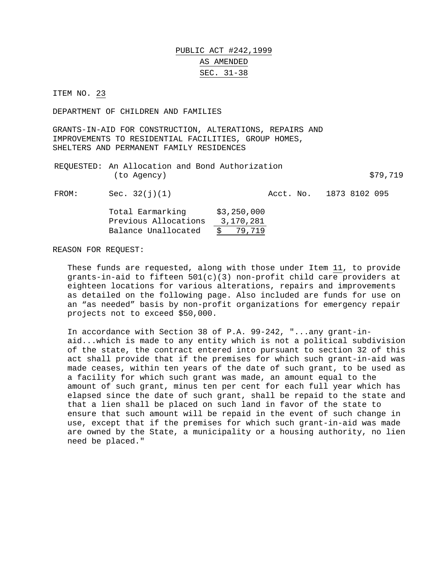### PUBLIC ACT #242,1999 AS AMENDED SEC. 31-38

ITEM NO. 23

DEPARTMENT OF CHILDREN AND FAMILIES

GRANTS-IN-AID FOR CONSTRUCTION, ALTERATIONS, REPAIRS AND IMPROVEMENTS TO RESIDENTIAL FACILITIES, GROUP HOMES, SHELTERS AND PERMANENT FAMILY RESIDENCES

|             | REQUESTED: An Allocation and Bond Authorization |          |
|-------------|-------------------------------------------------|----------|
| (to Agency) |                                                 | \$79,719 |

FROM: Sec. 32(j)(1) Acct. No. 1873 8102 095

| Total Earmarking     | \$3,250,000   |
|----------------------|---------------|
| Previous Allocations | 3,170,281     |
| Balance Unallocated  | 79,719<br>S – |

REASON FOR REQUEST:

These funds are requested, along with those under Item 11, to provide grants-in-aid to fifteen 501(c)(3) non-profit child care providers at eighteen locations for various alterations, repairs and improvements as detailed on the following page. Also included are funds for use on an "as needed" basis by non-profit organizations for emergency repair projects not to exceed \$50,000.

In accordance with Section 38 of P.A. 99-242, "...any grant-inaid...which is made to any entity which is not a political subdivision of the state, the contract entered into pursuant to section 32 of this act shall provide that if the premises for which such grant-in-aid was made ceases, within ten years of the date of such grant, to be used as a facility for which such grant was made, an amount equal to the amount of such grant, minus ten per cent for each full year which has elapsed since the date of such grant, shall be repaid to the state and that a lien shall be placed on such land in favor of the state to ensure that such amount will be repaid in the event of such change in use, except that if the premises for which such grant-in-aid was made are owned by the State, a municipality or a housing authority, no lien need be placed."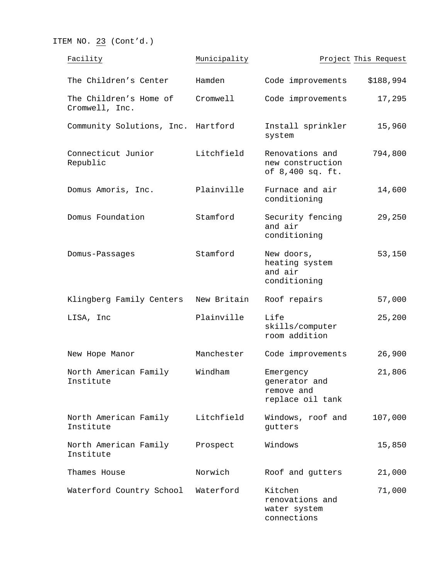ITEM NO.  $23$  (Cont'd.)

| Facility                                 | Municipality |                                                              | Project This Request |
|------------------------------------------|--------------|--------------------------------------------------------------|----------------------|
| The Children's Center                    | Hamden       | Code improvements                                            | \$188,994            |
| The Children's Home of<br>Cromwell, Inc. | Cromwell     | Code improvements                                            | 17,295               |
| Community Solutions, Inc. Hartford       |              | Install sprinkler<br>system                                  | 15,960               |
| Connecticut Junior<br>Republic           | Litchfield   | Renovations and<br>new construction<br>of 8,400 sq. ft.      | 794,800              |
| Domus Amoris, Inc.                       | Plainville   | Furnace and air<br>conditioning                              | 14,600               |
| Domus Foundation                         | Stamford     | Security fencing<br>and air<br>conditioning                  | 29,250               |
| Domus-Passages                           | Stamford     | New doors,<br>heating system<br>and air<br>conditioning      | 53,150               |
| Klingberg Family Centers                 | New Britain  | Roof repairs                                                 | 57,000               |
| LISA, Inc                                | Plainville   | Life<br>skills/computer<br>room addition                     | 25,200               |
| New Hope Manor                           | Manchester   | Code improvements                                            | 26,900               |
| North American Family<br>Institute       | Windham      | Emergency<br>generator and<br>remove and<br>replace oil tank | 21,806               |
| North American Family<br>Institute       | Litchfield   | Windows, roof and<br>gutters                                 | 107,000              |
| North American Family<br>Institute       | Prospect     | Windows                                                      | 15,850               |
| Thames House                             | Norwich      | Roof and gutters                                             | 21,000               |
| Waterford Country School                 | Waterford    | Kitchen<br>renovations and<br>water system<br>connections    | 71,000               |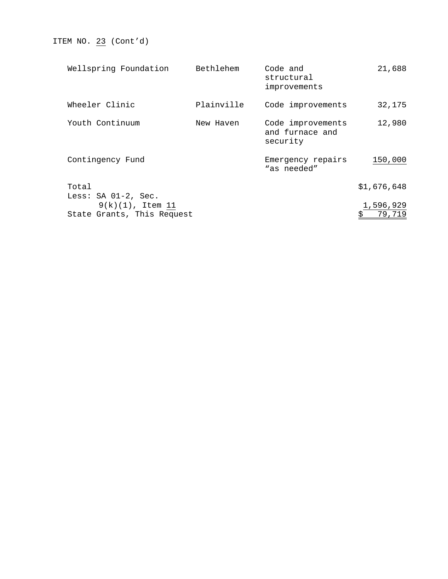ITEM NO. 23 (Cont'd)

| Wellspring Foundation                             | Bethlehem  | Code and<br>structural<br>improvements           | 21,688              |
|---------------------------------------------------|------------|--------------------------------------------------|---------------------|
| Wheeler Clinic                                    | Plainville | Code improvements                                | 32,175              |
| Youth Continuum                                   | New Haven  | Code improvements<br>and furnace and<br>security | 12,980              |
| Contingency Fund                                  |            | Emergency repairs<br>"as needed"                 | 150,000             |
| Total                                             |            |                                                  | \$1,676,648         |
| Less: SA 01-2, Sec.                               |            |                                                  |                     |
| $9(k)(1)$ , Item 11<br>State Grants, This Request |            |                                                  | 1,596,929<br>79,719 |
|                                                   |            |                                                  |                     |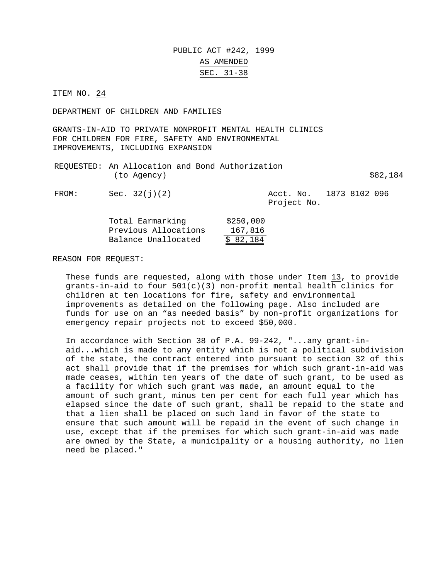### PUBLIC ACT #242, 1999 AS AMENDED SEC. 31-38

ITEM NO. 24

DEPARTMENT OF CHILDREN AND FAMILIES

GRANTS-IN-AID TO PRIVATE NONPROFIT MENTAL HEALTH CLINICS FOR CHILDREN FOR FIRE, SAFETY AND ENVIRONMENTAL IMPROVEMENTS, INCLUDING EXPANSION

|             | REQUESTED: An Allocation and Bond Authorization |          |
|-------------|-------------------------------------------------|----------|
| (to Agency) |                                                 | \$82,184 |

FROM: Sec. 32(j)(2) Acct. No. 1873 8102 096 Project No.

| Total Earmarking     | \$250,000 |
|----------------------|-----------|
| Previous Allocations | 167,816   |
| Balance Unallocated  | \$82,184  |

REASON FOR REQUEST:

These funds are requested, along with those under Item 13, to provide grants-in-aid to four  $501(c)(3)$  non-profit mental health clinics for children at ten locations for fire, safety and environmental improvements as detailed on the following page. Also included are funds for use on an "as needed basis" by non-profit organizations for emergency repair projects not to exceed \$50,000.

In accordance with Section 38 of P.A. 99-242, "...any grant-inaid...which is made to any entity which is not a political subdivision of the state, the contract entered into pursuant to section 32 of this act shall provide that if the premises for which such grant-in-aid was made ceases, within ten years of the date of such grant, to be used as a facility for which such grant was made, an amount equal to the amount of such grant, minus ten per cent for each full year which has elapsed since the date of such grant, shall be repaid to the state and that a lien shall be placed on such land in favor of the state to ensure that such amount will be repaid in the event of such change in use, except that if the premises for which such grant-in-aid was made are owned by the State, a municipality or a housing authority, no lien need be placed."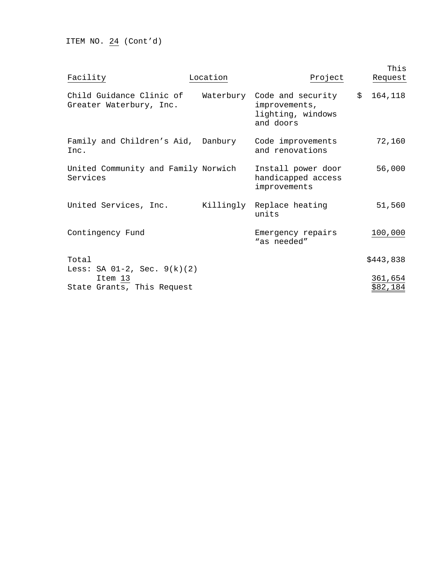ITEM NO.  $24$  (Cont'd)

| Facility                                                                  | Location | Project                                                                        | This<br>Request     |
|---------------------------------------------------------------------------|----------|--------------------------------------------------------------------------------|---------------------|
| Child Guidance Clinic of<br>Greater Waterbury, Inc.                       |          | Waterbury Code and security<br>improvements,<br>lighting, windows<br>and doors | \$164,118           |
| Family and Children's Aid, Danbury<br>Inc.                                |          | Code improvements<br>and renovations                                           | 72,160              |
| United Community and Family Norwich<br>Services                           |          | Install power door<br>handicapped access<br>improvements                       | 56,000              |
| United Services, Inc.                                                     |          | Killingly Replace heating<br>units                                             | 51,560              |
| Contingency Fund                                                          |          | Emergency repairs<br>"as needed"                                               | 100,000             |
| Total                                                                     |          |                                                                                | \$443,838           |
| Less: SA $01-2$ , Sec. $9(k)(2)$<br>Item 13<br>State Grants, This Request |          |                                                                                | 361,654<br>\$82,184 |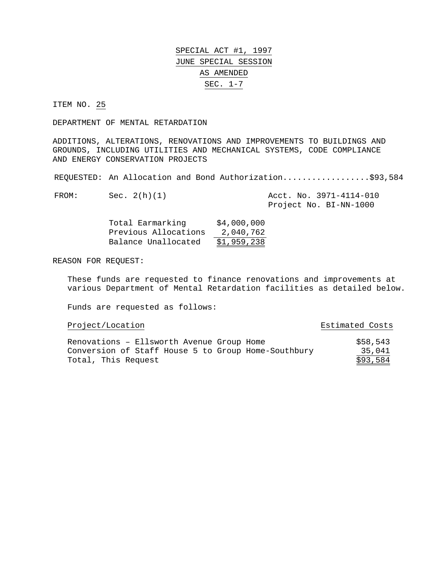#### ITEM NO. 25

DEPARTMENT OF MENTAL RETARDATION

ADDITIONS, ALTERATIONS, RENOVATIONS AND IMPROVEMENTS TO BUILDINGS AND GROUNDS, INCLUDING UTILITIES AND MECHANICAL SYSTEMS, CODE COMPLIANCE AND ENERGY CONSERVATION PROJECTS

REQUESTED: An Allocation and Bond Authorization....................\$93,584

FROM: Sec. 2(h)(1) Acct. No. 3971-4114-010 Project No. BI-NN-1000

| Total Earmarking     | \$4,000,000 |
|----------------------|-------------|
| Previous Allocations | 2,040,762   |
| Balance Unallocated  | \$1,959,238 |

REASON FOR REQUEST:

These funds are requested to finance renovations and improvements at various Department of Mental Retardation facilities as detailed below.

Funds are requested as follows:

| Project/Location                                    | Estimated Costs |
|-----------------------------------------------------|-----------------|
| Renovations - Ellsworth Avenue Group Home           | \$58,543        |
| Conversion of Staff House 5 to Group Home-Southbury | 35,041          |
| Total, This Request                                 | \$93,584        |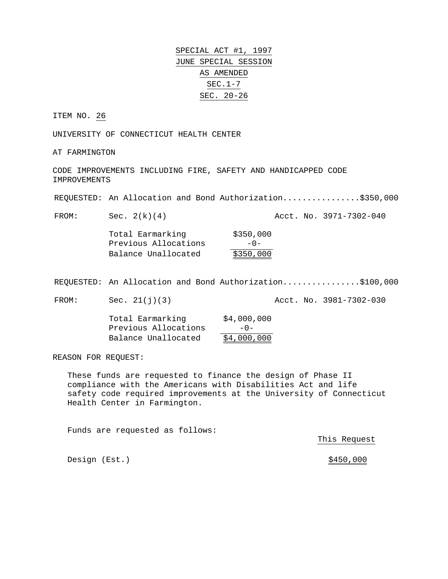SPECIAL ACT #1, 1997 JUNE SPECIAL SESSION AS AMENDED SEC.1-7 SEC. 20-26

ITEM NO. 26

UNIVERSITY OF CONNECTICUT HEALTH CENTER

AT FARMINGTON

CODE IMPROVEMENTS INCLUDING FIRE, SAFETY AND HANDICAPPED CODE IMPROVEMENTS

REQUESTED: An Allocation and Bond Authorization................\$350,000

FROM: Sec. 2(k)(4) Acct. No. 3971-7302-040

Total Earmarking \$350,000 Previous Allocations -0-Balance Unallocated \$350,000

REQUESTED: An Allocation and Bond Authorization................\$100,000

FROM: Sec. 21(j)(3) Acct. No. 3981-7302-030

Total Earmarking \$4,000,000 Previous Allocations -0- Balance Unallocated \$4,000,000

REASON FOR REQUEST:

These funds are requested to finance the design of Phase II compliance with the Americans with Disabilities Act and life safety code required improvements at the University of Connecticut Health Center in Farmington.

Funds are requested as follows:

This Request

Design (Est.)  $\frac{$450,000}{900}$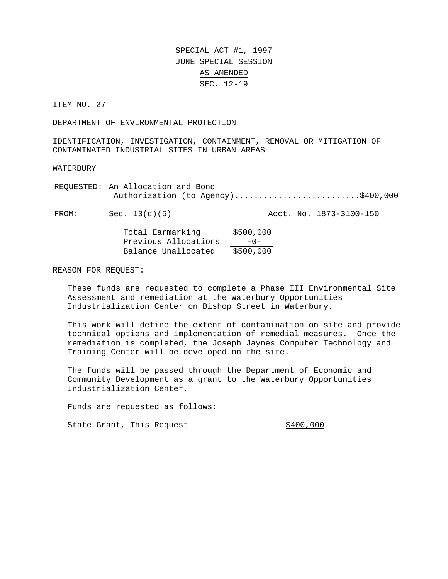ITEM NO. 27

DEPARTMENT OF ENVIRONMENTAL PROTECTION

IDENTIFICATION, INVESTIGATION, CONTAINMENT, REMOVAL OR MITIGATION OF CONTAMINATED INDUSTRIAL SITES IN URBAN AREAS

WATERBURY

REQUESTED: An Allocation and Bond Authorization (to Agency)..........................\$400,000

FROM: Sec. 13(c)(5) Acct. No. 1873-3100-150

| Total Earmarking     | \$500,000 |
|----------------------|-----------|
| Previous Allocations | $-0-$     |
| Balance Unallocated  | \$500,000 |

REASON FOR REQUEST:

These funds are requested to complete a Phase III Environmental Site Assessment and remediation at the Waterbury Opportunities Industrialization Center on Bishop Street in Waterbury.

This work will define the extent of contamination on site and provide technical options and implementation of remedial measures. Once the remediation is completed, the Joseph Jaynes Computer Technology and Training Center will be developed on the site.

The funds will be passed through the Department of Economic and Community Development as a grant to the Waterbury Opportunities Industrialization Center.

Funds are requested as follows:

State Grant, This Request 6400,000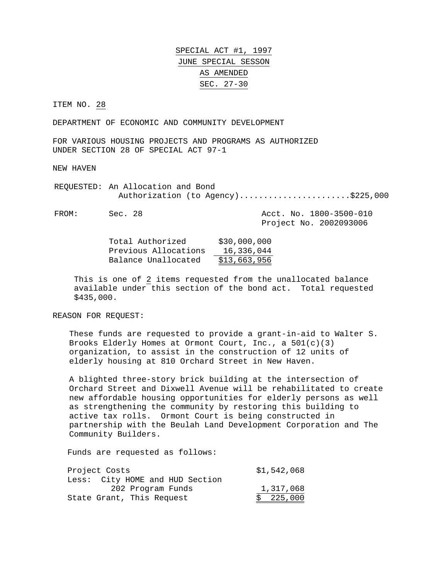SPECIAL ACT #1, 1997 JUNE SPECIAL SESSON AS AMENDED SEC. 27-30

ITEM NO. 28

DEPARTMENT OF ECONOMIC AND COMMUNITY DEVELOPMENT

FOR VARIOUS HOUSING PROJECTS AND PROGRAMS AS AUTHORIZED UNDER SECTION 28 OF SPECIAL ACT 97-1

NEW HAVEN

REQUESTED: An Allocation and Bond Authorization (to Agency).........................\$225,000

FROM: Sec. 28 Acct. No. 1800-3500-010

Project No. 2002093006

| Total Authorized     | \$30,000,000 |
|----------------------|--------------|
| Previous Allocations | 16,336,044   |
| Balance Unallocated  | \$13,663,956 |

This is one of 2 items requested from the unallocated balance available under this section of the bond act. Total requested \$435,000.

REASON FOR REQUEST:

These funds are requested to provide a grant-in-aid to Walter S. Brooks Elderly Homes at Ormont Court, Inc., a 501(c)(3) organization, to assist in the construction of 12 units of elderly housing at 810 Orchard Street in New Haven.

A blighted three-story brick building at the intersection of Orchard Street and Dixwell Avenue will be rehabilitated to create new affordable housing opportunities for elderly persons as well as strengthening the community by restoring this building to active tax rolls. Ormont Court is being constructed in partnership with the Beulah Land Development Corporation and The Community Builders.

Funds are requested as follows:

| Project Costs                   | \$1,542,068 |
|---------------------------------|-------------|
| Less: City HOME and HUD Section |             |
| 202 Program Funds               | 1,317,068   |
| State Grant, This Request       | \$225,000   |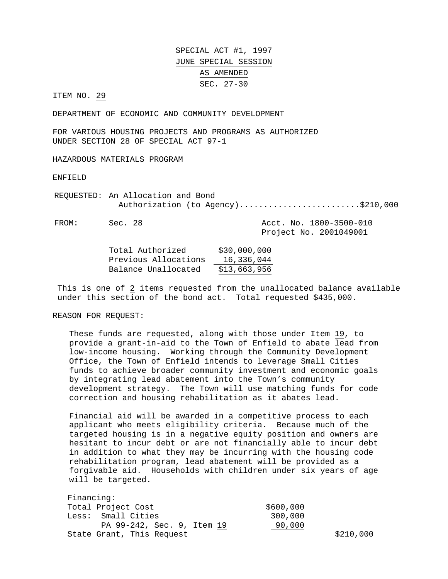ITEM NO. 29

DEPARTMENT OF ECONOMIC AND COMMUNITY DEVELOPMENT

FOR VARIOUS HOUSING PROJECTS AND PROGRAMS AS AUTHORIZED UNDER SECTION 28 OF SPECIAL ACT 97-1

HAZARDOUS MATERIALS PROGRAM

ENFIELD

REQUESTED: An Allocation and Bond Authorization (to Agency)...........................\$210,000

FROM: Sec. 28 Acct. No. 1800-3500-010 Project No. 2001049001

| Total Authorized     | \$30,000,000 |
|----------------------|--------------|
| Previous Allocations | 16,336,044   |
| Balance Unallocated  | \$13,663,956 |

This is one of 2 items requested from the unallocated balance available under this section of the bond act. Total requested \$435,000.

REASON FOR REQUEST:

These funds are requested, along with those under Item 19, to provide a grant-in-aid to the Town of Enfield to abate lead from low-income housing. Working through the Community Development Office, the Town of Enfield intends to leverage Small Cities funds to achieve broader community investment and economic goals by integrating lead abatement into the Town's community development strategy. The Town will use matching funds for code correction and housing rehabilitation as it abates lead.

Financial aid will be awarded in a competitive process to each applicant who meets eligibility criteria. Because much of the targeted housing is in a negative equity position and owners are hesitant to incur debt or are not financially able to incur debt in addition to what they may be incurring with the housing code rehabilitation program, lead abatement will be provided as a forgivable aid. Households with children under six years of age will be targeted.

| Financing:                 |           |           |
|----------------------------|-----------|-----------|
| Total Project Cost         | \$600,000 |           |
| Less: Small Cities         | 300,000   |           |
| PA 99-242, Sec. 9, Item 19 | 90,000    |           |
| State Grant, This Request  |           | \$210,000 |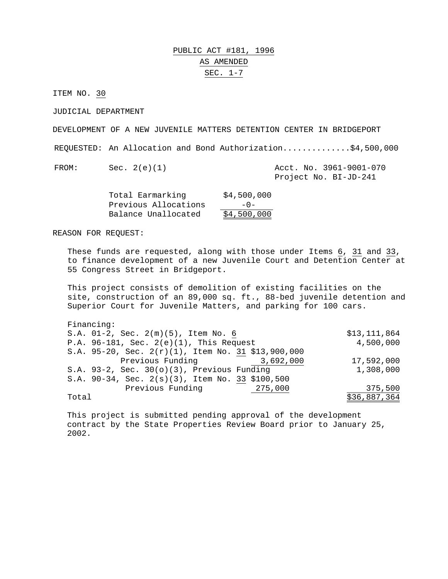### PUBLIC ACT #181, 1996 AS AMENDED SEC. 1-7

ITEM NO. 30

JUDICIAL DEPARTMENT

DEVELOPMENT OF A NEW JUVENILE MATTERS DETENTION CENTER IN BRIDGEPORT

REQUESTED: An Allocation and Bond Authorization..............\$4,500,000

FROM: Sec. 2(e)(1) Acct. No. 3961-9001-070 Project No. BI-JD-241

| Total Earmarking     | \$4,500,000 |
|----------------------|-------------|
| Previous Allocations | $-0-$       |
| Balance Unallocated  | \$4,500,000 |

REASON FOR REQUEST:

These funds are requested, along with those under Items 6, 31 and 33, to finance development of a new Juvenile Court and Detention Center at 55 Congress Street in Bridgeport.

This project consists of demolition of existing facilities on the site, construction of an 89,000 sq. ft., 88-bed juvenile detention and Superior Court for Juvenile Matters, and parking for 100 cars.

| Financing:                                            |                |
|-------------------------------------------------------|----------------|
| S.A. 01-2, Sec. 2(m)(5), Item No. 6                   | \$13, 111, 864 |
| P.A. $96-181$ , Sec. $2(e)(1)$ , This Request         | 4,500,000      |
| S.A. 95-20, Sec. $2(r)(1)$ , Item No. 31 \$13,900,000 |                |
| Previous Funding<br>3,692,000                         | 17,592,000     |
| S.A. $93-2$ , Sec. $30(0)(3)$ , Previous Funding      | 1,308,000      |
| S.A. 90-34, Sec. 2(s)(3), Item No. 33 \$100,500       |                |
| Previous Funding<br>275,000                           | 375,500        |
| Total                                                 | \$36,887,364   |

 This project is submitted pending approval of the development contract by the State Properties Review Board prior to January 25, 2002.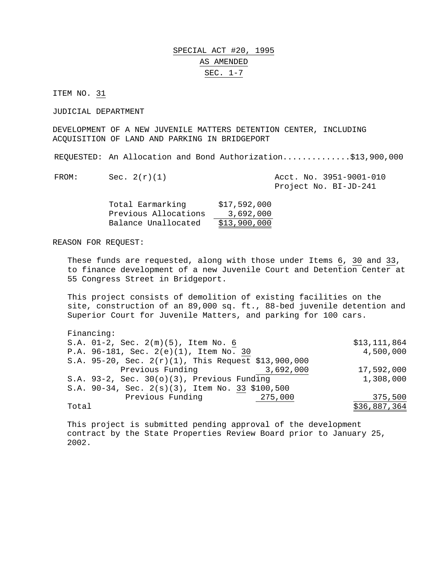### SPECIAL ACT #20, 1995 AS AMENDED SEC. 1-7

ITEM NO. 31

JUDICIAL DEPARTMENT

DEVELOPMENT OF A NEW JUVENILE MATTERS DETENTION CENTER, INCLUDING ACQUISITION OF LAND AND PARKING IN BRIDGEPORT

REQUESTED: An Allocation and Bond Authorization..............\$13,900,000

FROM: Sec.  $2(r)(1)$  Acct. No. 3951-9001-010 Project No. BI-JD-241

| Total Earmarking     | \$17,592,000 |
|----------------------|--------------|
| Previous Allocations | 3,692,000    |
| Balance Unallocated  | \$13,900,000 |

REASON FOR REQUEST:

These funds are requested, along with those under Items 6, 30 and 33, to finance development of a new Juvenile Court and Detention Center at 55 Congress Street in Bridgeport.

This project consists of demolition of existing facilities on the site, construction of an 89,000 sq. ft., 88-bed juvenile detention and Superior Court for Juvenile Matters, and parking for 100 cars.

| Financing:                                             |              |
|--------------------------------------------------------|--------------|
| S.A. 01-2, Sec. 2(m)(5), Item No. 6                    | \$13,111,864 |
| P.A. 96-181, Sec. 2(e)(1), Item No. 30                 | 4,500,000    |
| S.A. 95-20, Sec. $2(r)(1)$ , This Request \$13,900,000 |              |
| Previous Funding<br>3,692,000                          | 17,592,000   |
| S.A. 93-2, Sec. $30(0)(3)$ , Previous Funding          | 1,308,000    |
| S.A. 90-34, Sec. 2(s)(3), Item No. 33 \$100,500        |              |
| Previous Funding<br>275,000                            | 375,500      |
| Total                                                  | \$36,887,364 |

 This project is submitted pending approval of the development contract by the State Properties Review Board prior to January 25, 2002.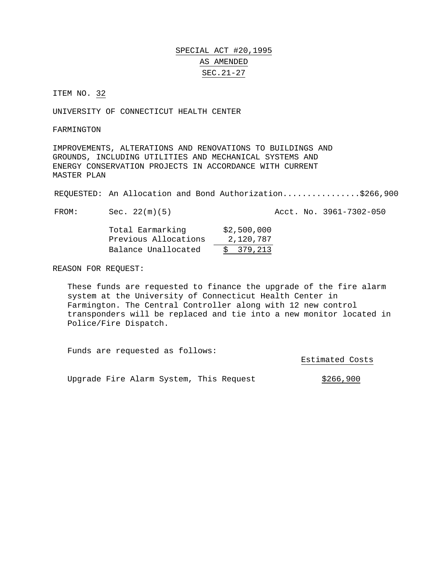### SPECIAL ACT #20,1995 AS AMENDED SEC.21-27

ITEM NO. 32

UNIVERSITY OF CONNECTICUT HEALTH CENTER

FARMINGTON

IMPROVEMENTS, ALTERATIONS AND RENOVATIONS TO BUILDINGS AND GROUNDS, INCLUDING UTILITIES AND MECHANICAL SYSTEMS AND ENERGY CONSERVATION PROJECTS IN ACCORDANCE WITH CURRENT MASTER PLAN

REQUESTED: An Allocation and Bond Authorization................\$266,900

FROM: Sec. 22(m)(5) Acct. No. 3961-7302-050

| Total Earmarking     | \$2,500,000 |
|----------------------|-------------|
| Previous Allocations | 2,120,787   |
| Balance Unallocated  | \$379,213   |

REASON FOR REQUEST:

These funds are requested to finance the upgrade of the fire alarm system at the University of Connecticut Health Center in Farmington. The Central Controller along with 12 new control transponders will be replaced and tie into a new monitor located in Police/Fire Dispatch.

Funds are requested as follows:

Estimated Costs

Upgrade Fire Alarm System, This Request  $$266,900$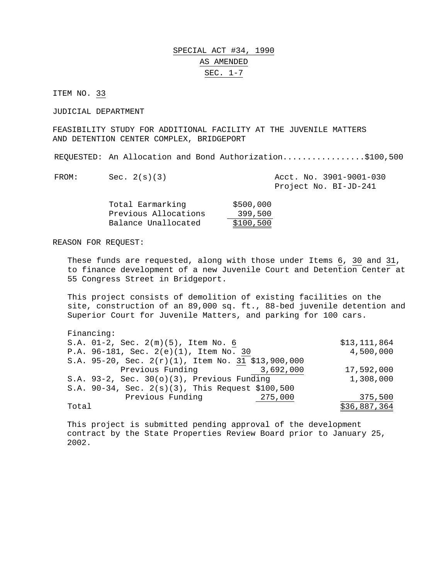### SPECIAL ACT #34, 1990 AS AMENDED SEC. 1-7

ITEM NO. 33

JUDICIAL DEPARTMENT

FEASIBILITY STUDY FOR ADDITIONAL FACILITY AT THE JUVENILE MATTERS AND DETENTION CENTER COMPLEX, BRIDGEPORT

REQUESTED: An Allocation and Bond Authorization.................\$100,500

FROM: Sec. 2(s)(3) Acct. No. 3901-9001-030 Project No. BI-JD-241

| Total Earmarking     | \$500,000 |
|----------------------|-----------|
| Previous Allocations | 399,500   |
| Balance Unallocated  | \$100,500 |

REASON FOR REQUEST:

These funds are requested, along with those under Items 6, 30 and 31, to finance development of a new Juvenile Court and Detention Center at 55 Congress Street in Bridgeport.

This project consists of demolition of existing facilities on the site, construction of an 89,000 sq. ft., 88-bed juvenile detention and Superior Court for Juvenile Matters, and parking for 100 cars.

| Financing:                                            |              |
|-------------------------------------------------------|--------------|
| S.A. 01-2, Sec. 2(m)(5), Item No. 6                   | \$13,111,864 |
| P.A. 96-181, Sec. 2(e)(1), Item No. 30                | 4,500,000    |
| S.A. 95-20, Sec. $2(r)(1)$ , Item No. 31 \$13,900,000 |              |
| Previous Funding<br>3,692,000                         | 17,592,000   |
| S.A. $93-2$ , Sec. $30(0)(3)$ , Previous Funding      | 1,308,000    |
| S.A. 90-34, Sec. 2(s)(3), This Request \$100,500      |              |
| Previous Funding<br>275,000                           | 375,500      |
| Total                                                 | \$36,887,364 |

 This project is submitted pending approval of the development contract by the State Properties Review Board prior to January 25, 2002.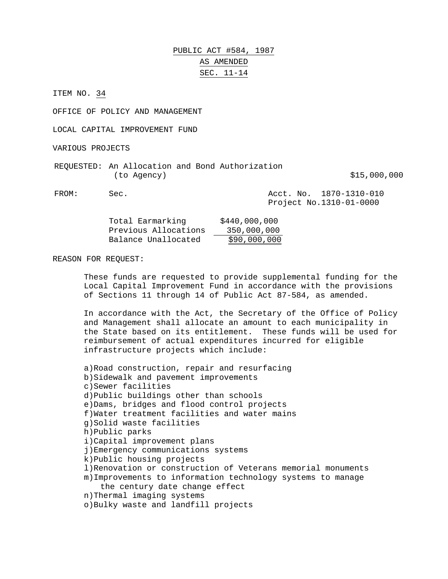### PUBLIC ACT #584, 1987 AS AMENDED SEC. 11-14

ITEM NO. 34

OFFICE OF POLICY AND MANAGEMENT

LOCAL CAPITAL IMPROVEMENT FUND

VARIOUS PROJECTS

|             | REQUESTED: An Allocation and Bond Authorization |              |
|-------------|-------------------------------------------------|--------------|
| (to Agency) |                                                 | \$15,000,000 |

FROM: Sec. Acct. No. 1870-1310-010 Project No.1310-01-0000

| Total Earmarking     | \$440,000,000 |
|----------------------|---------------|
| Previous Allocations | 350,000,000   |
| Balance Unallocated  | \$90,000,000  |

#### REASON FOR REQUEST:

These funds are requested to provide supplemental funding for the Local Capital Improvement Fund in accordance with the provisions of Sections 11 through 14 of Public Act 87-584, as amended.

In accordance with the Act, the Secretary of the Office of Policy and Management shall allocate an amount to each municipality in the State based on its entitlement. These funds will be used for reimbursement of actual expenditures incurred for eligible infrastructure projects which include:

a)Road construction, repair and resurfacing b)Sidewalk and pavement improvements c)Sewer facilities d)Public buildings other than schools e)Dams, bridges and flood control projects f)Water treatment facilities and water mains g)Solid waste facilities h)Public parks i)Capital improvement plans j)Emergency communications systems k)Public housing projects l)Renovation or construction of Veterans memorial monuments m)Improvements to information technology systems to manage the century date change effect n)Thermal imaging systems o)Bulky waste and landfill projects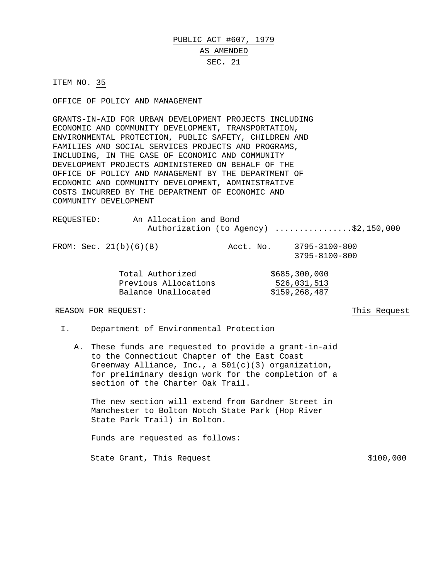# PUBLIC ACT #607, 1979 AS AMENDED SEC. 21

ITEM NO. 35

OFFICE OF POLICY AND MANAGEMENT

GRANTS-IN-AID FOR URBAN DEVELOPMENT PROJECTS INCLUDING ECONOMIC AND COMMUNITY DEVELOPMENT, TRANSPORTATION, ENVIRONMENTAL PROTECTION, PUBLIC SAFETY, CHILDREN AND FAMILIES AND SOCIAL SERVICES PROJECTS AND PROGRAMS, INCLUDING, IN THE CASE OF ECONOMIC AND COMMUNITY DEVELOPMENT PROJECTS ADMINISTERED ON BEHALF OF THE OFFICE OF POLICY AND MANAGEMENT BY THE DEPARTMENT OF ECONOMIC AND COMMUNITY DEVELOPMENT, ADMINISTRATIVE COSTS INCURRED BY THE DEPARTMENT OF ECONOMIC AND COMMUNITY DEVELOPMENT

| REOUESTED: |                          | An Allocation and Bond                                          |  | Authorization (to Agency) \$2,150,000           |
|------------|--------------------------|-----------------------------------------------------------------|--|-------------------------------------------------|
|            | FROM: Sec. $21(b)(6)(B)$ |                                                                 |  | Acct. No. 3795-3100-800<br>3795-8100-800        |
|            |                          | Total Authorized<br>Previous Allocations<br>Balance Unallocated |  | \$685,300,000<br>526,031,513<br>\$159, 268, 487 |

#### REASON FOR REQUEST: This Request

- I. Department of Environmental Protection
	- A. These funds are requested to provide a grant-in-aid to the Connecticut Chapter of the East Coast Greenway Alliance, Inc., a 501(c)(3) organization, for preliminary design work for the completion of a section of the Charter Oak Trail.

The new section will extend from Gardner Street in Manchester to Bolton Notch State Park (Hop River State Park Trail) in Bolton.

Funds are requested as follows:

State Grant, This Request  $$100,000$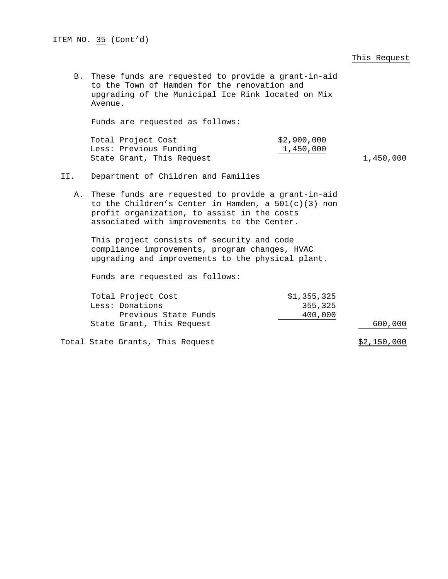|     |                                                                                                                                                                                                               |                                   | This Request |
|-----|---------------------------------------------------------------------------------------------------------------------------------------------------------------------------------------------------------------|-----------------------------------|--------------|
|     | B. These funds are requested to provide a grant-in-aid<br>to the Town of Hamden for the renovation and<br>upgrading of the Municipal Ice Rink located on Mix<br>Avenue.                                       |                                   |              |
|     | Funds are requested as follows:                                                                                                                                                                               |                                   |              |
|     | Total Project Cost<br>Less: Previous Funding<br>State Grant, This Request                                                                                                                                     | \$2,900,000<br>1,450,000          | 1,450,000    |
| II. | Department of Children and Families                                                                                                                                                                           |                                   |              |
|     | A. These funds are requested to provide a grant-in-aid<br>to the Children's Center in Hamden, a $501(c)(3)$ non<br>profit organization, to assist in the costs<br>associated with improvements to the Center. |                                   |              |
|     | This project consists of security and code<br>compliance improvements, program changes, HVAC<br>upgrading and improvements to the physical plant.                                                             |                                   |              |
|     | Funds are requested as follows:                                                                                                                                                                               |                                   |              |
|     | Total Project Cost<br>Less: Donations<br>Previous State Funds                                                                                                                                                 | \$1,355,325<br>355,325<br>400,000 |              |
|     | State Grant, This Request                                                                                                                                                                                     |                                   | 600,000      |
|     | Total State Grants, This Request                                                                                                                                                                              |                                   | \$2,150,000  |

ITEM NO.  $35$  (Cont'd)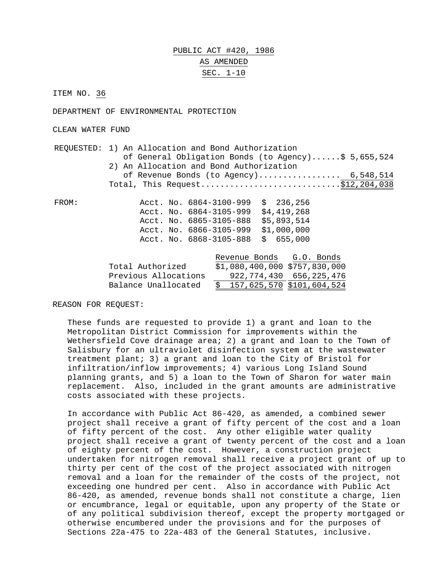# PUBLIC ACT #420, 1986 AS AMENDED SEC. 1-10

ITEM NO. 36

DEPARTMENT OF ENVIRONMENTAL PROTECTION

CLEAN WATER FUND

|       | REQUESTED: 1) An Allocation and Bond Authorization<br>of General Obligation Bonds (to Agency)\$ 5,655,524 |  |  |  |  |
|-------|-----------------------------------------------------------------------------------------------------------|--|--|--|--|
|       |                                                                                                           |  |  |  |  |
|       | 2) An Allocation and Bond Authorization<br>of Revenue Bonds (to Agency) $6,548,514$                       |  |  |  |  |
|       |                                                                                                           |  |  |  |  |
|       | Total, This Request\$12,204,038                                                                           |  |  |  |  |
| FROM: | Acct. No. $6864-3100-999$ \$ 236,256                                                                      |  |  |  |  |
|       | \$4,419,268<br>Acct. No. 6864-3105-999                                                                    |  |  |  |  |
|       | \$5,893,514<br>Acct. No. 6865-3105-888                                                                    |  |  |  |  |
|       | Acct. No. 6866-3105-999 \$1,000,000                                                                       |  |  |  |  |
|       | \$655,000<br>Acct. No. 6868-3105-888                                                                      |  |  |  |  |
|       |                                                                                                           |  |  |  |  |
|       | Revenue Bonds G.O. Bonds                                                                                  |  |  |  |  |
|       | $$1,080,400,000$ $$757,830,000$<br>Total Authorized                                                       |  |  |  |  |
|       | 922, 774, 430 656, 225, 476<br>Previous Allocations                                                       |  |  |  |  |
|       | $\frac{157}{625}$ , 570 $\frac{101}{604}$ , 524<br>Balance Unallocated                                    |  |  |  |  |
|       |                                                                                                           |  |  |  |  |

REASON FOR REQUEST:

These funds are requested to provide 1) a grant and loan to the Metropolitan District Commission for improvements within the Wethersfield Cove drainage area; 2) a grant and loan to the Town of Salisbury for an ultraviolet disinfection system at the wastewater treatment plant; 3) a grant and loan to the City of Bristol for infiltration/inflow improvements; 4) various Long Island Sound planning grants, and 5) a loan to the Town of Sharon for water main replacement. Also, included in the grant amounts are administrative costs associated with these projects.

In accordance with Public Act 86-420, as amended, a combined sewer project shall receive a grant of fifty percent of the cost and a loan of fifty percent of the cost. Any other eligible water quality project shall receive a grant of twenty percent of the cost and a loan of eighty percent of the cost. However, a construction project undertaken for nitrogen removal shall receive a project grant of up to thirty per cent of the cost of the project associated with nitrogen removal and a loan for the remainder of the costs of the project, not exceeding one hundred per cent. Also in accordance with Public Act 86-420, as amended, revenue bonds shall not constitute a charge, lien or encumbrance, legal or equitable, upon any property of the State or of any political subdivision thereof, except the property mortgaged or otherwise encumbered under the provisions and for the purposes of Sections 22a-475 to 22a-483 of the General Statutes, inclusive.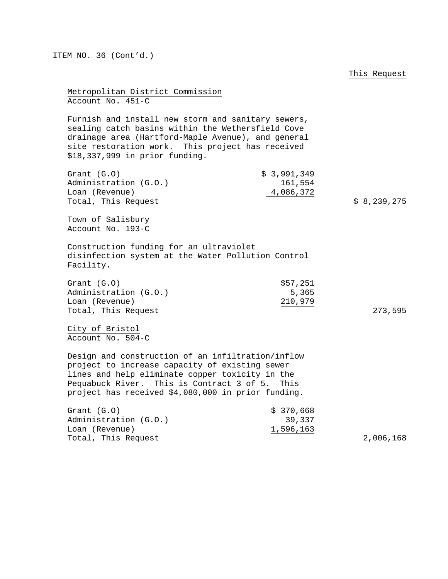This Request Metropolitan District Commission Account No. 451-C Furnish and install new storm and sanitary sewers, sealing catch basins within the Wethersfield Cove drainage area (Hartford-Maple Avenue), and general site restoration work. This project has received \$18,337,999 in prior funding. Grant (G.O) \$ 3,991,349 Administration (G.O.) 161,554 Loan (Revenue) 4,086,372 Total, This Request  $\upbeta$  8,239,275 Town of Salisbury Account No. 193-C Construction funding for an ultraviolet disinfection system at the Water Pollution Control Facility. Grant  $(G.0)$  \$57,251 Administration (G.O.) 5,365 Loan (Revenue) 210,979 Total, This Request 273,595 City of Bristol Account No. 504-C Design and construction of an infiltration/inflow project to increase capacity of existing sewer lines and help eliminate copper toxicity in the Pequabuck River. This is Contract 3 of 5. This project has received \$4,080,000 in prior funding. Grant (G.O) \$ 370,668 Administration (G.O.) 39,337 Loan (Revenue) 1,596,163 Total, This Request 2,006,168

ITEM NO. 36 (Cont'd.)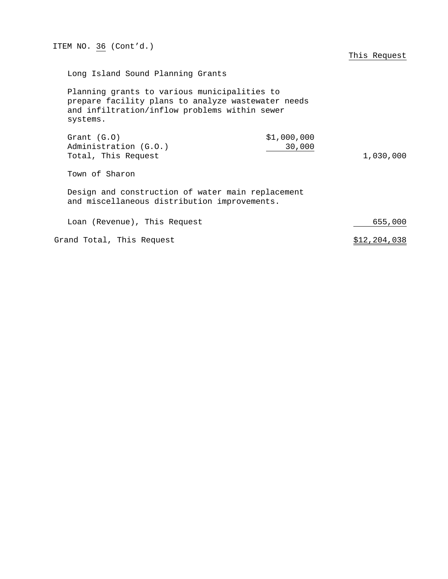| ITEM NO. 36 (Cont'd.)                                                                                                                                           | This Request |  |  |
|-----------------------------------------------------------------------------------------------------------------------------------------------------------------|--------------|--|--|
| Long Island Sound Planning Grants                                                                                                                               |              |  |  |
| Planning grants to various municipalities to<br>prepare facility plans to analyze wastewater needs<br>and infiltration/inflow problems within sewer<br>systems. |              |  |  |
| \$1,000,000<br>Grant $(G.0)$<br>30,000<br>Administration (G.O.)<br>Total, This Request                                                                          | 1,030,000    |  |  |
| Town of Sharon                                                                                                                                                  |              |  |  |
| Design and construction of water main replacement<br>and miscellaneous distribution improvements.                                                               |              |  |  |
| Loan (Revenue), This Request                                                                                                                                    | 655,000      |  |  |
| Grand Total, This Request                                                                                                                                       | \$12,204,038 |  |  |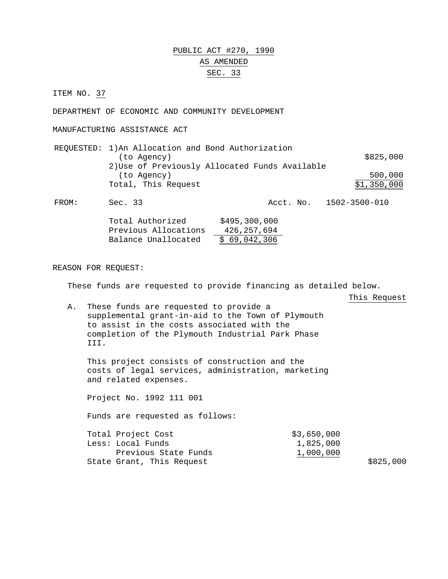# PUBLIC ACT #270, 1990 AS AMENDED SEC. 33

ITEM NO. 37

DEPARTMENT OF ECONOMIC AND COMMUNITY DEVELOPMENT

MANUFACTURING ASSISTANCE ACT

| REQUESTED: 1) An Allocation and Bond Authorization |             |
|----------------------------------------------------|-------------|
| (to Agency)                                        | \$825,000   |
| 2) Use of Previously Allocated Funds Available     |             |
| (to Agency)                                        | 500,000     |
| Total, This Request                                | \$1,350,000 |

FROM: Sec. 33 Acct. No. 1502-3500-010

| Total Authorized     | \$495,300,000 |
|----------------------|---------------|
| Previous Allocations | 426, 257, 694 |
| Balance Unallocated  | \$69,042,306  |

REASON FOR REQUEST:

These funds are requested to provide financing as detailed below.

This Request

 $$825,000$ 

A. These funds are requested to provide a supplemental grant-in-aid to the Town of Plymouth to assist in the costs associated with the completion of the Plymouth Industrial Park Phase III.

This project consists of construction and the costs of legal services, administration, marketing and related expenses.

Project No. 1992 111 001

Funds are requested as follows:

| Total Project Cost        | \$3,650,000 |
|---------------------------|-------------|
| Less: Local Funds         | 1,825,000   |
| Previous State Funds      | 1,000,000   |
| State Grant, This Request |             |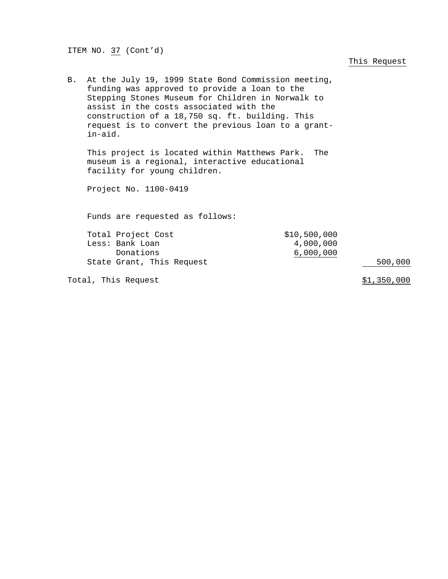ITEM NO. 37 (Cont'd)

This Request

| В. | At the July 19, 1999 State Bond Commission meeting,<br>funding was approved to provide a loan to the<br>Stepping Stones Museum for Children in Norwalk to<br>assist in the costs associated with the<br>construction of a 18,750 sq. ft. building. This<br>request is to convert the previous loan to a grant-<br>$in$ -aid. |                                        |                    |  |  |
|----|------------------------------------------------------------------------------------------------------------------------------------------------------------------------------------------------------------------------------------------------------------------------------------------------------------------------------|----------------------------------------|--------------------|--|--|
|    | This project is located within Matthews Park. The<br>museum is a regional, interactive educational<br>facility for young children.                                                                                                                                                                                           |                                        |                    |  |  |
|    | Project No. 1100-0419                                                                                                                                                                                                                                                                                                        |                                        |                    |  |  |
|    | Funds are requested as follows:                                                                                                                                                                                                                                                                                              |                                        |                    |  |  |
|    | Total Project Cost<br>Less: Bank Loan<br>Donations<br>State Grant, This Request                                                                                                                                                                                                                                              | \$10,500,000<br>4,000,000<br>6,000,000 | 500,000            |  |  |
|    | Total, This Request                                                                                                                                                                                                                                                                                                          |                                        | <u>\$1,350,000</u> |  |  |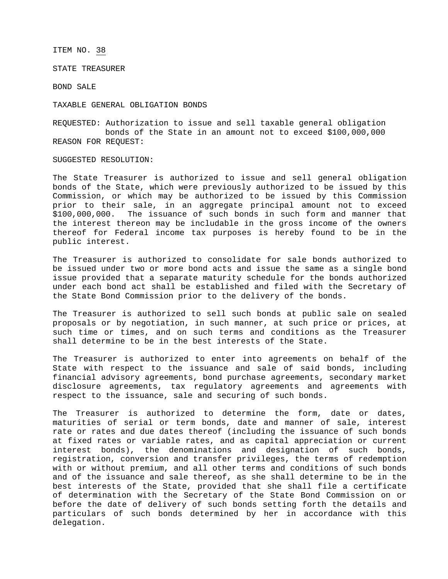ITEM NO. 38

STATE TREASURER

BOND SALE

TAXABLE GENERAL OBLIGATION BONDS

REQUESTED: Authorization to issue and sell taxable general obligation bonds of the State in an amount not to exceed \$100,000,000 REASON FOR REQUEST:

SUGGESTED RESOLUTION:

The State Treasurer is authorized to issue and sell general obligation bonds of the State, which were previously authorized to be issued by this Commission, or which may be authorized to be issued by this Commission prior to their sale, in an aggregate principal amount not to exceed \$100,000,000. The issuance of such bonds in such form and manner that the interest thereon may be includable in the gross income of the owners thereof for Federal income tax purposes is hereby found to be in the public interest.

The Treasurer is authorized to consolidate for sale bonds authorized to be issued under two or more bond acts and issue the same as a single bond issue provided that a separate maturity schedule for the bonds authorized under each bond act shall be established and filed with the Secretary of the State Bond Commission prior to the delivery of the bonds.

The Treasurer is authorized to sell such bonds at public sale on sealed proposals or by negotiation, in such manner, at such price or prices, at such time or times, and on such terms and conditions as the Treasurer shall determine to be in the best interests of the State.

The Treasurer is authorized to enter into agreements on behalf of the State with respect to the issuance and sale of said bonds, including financial advisory agreements, bond purchase agreements, secondary market disclosure agreements, tax regulatory agreements and agreements with respect to the issuance, sale and securing of such bonds.

The Treasurer is authorized to determine the form, date or dates, maturities of serial or term bonds, date and manner of sale, interest rate or rates and due dates thereof (including the issuance of such bonds at fixed rates or variable rates, and as capital appreciation or current interest bonds), the denominations and designation of such bonds, registration, conversion and transfer privileges, the terms of redemption with or without premium, and all other terms and conditions of such bonds and of the issuance and sale thereof, as she shall determine to be in the best interests of the State, provided that she shall file a certificate of determination with the Secretary of the State Bond Commission on or before the date of delivery of such bonds setting forth the details and particulars of such bonds determined by her in accordance with this delegation.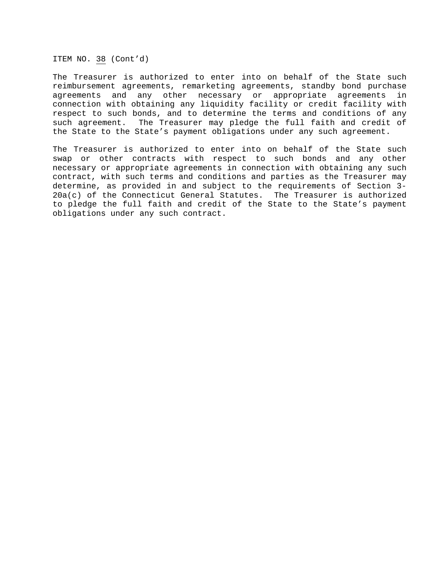ITEM NO. 38 (Cont'd)

The Treasurer is authorized to enter into on behalf of the State such reimbursement agreements, remarketing agreements, standby bond purchase agreements and any other necessary or appropriate agreements in connection with obtaining any liquidity facility or credit facility with respect to such bonds, and to determine the terms and conditions of any such agreement. The Treasurer may pledge the full faith and credit of the State to the State's payment obligations under any such agreement.

The Treasurer is authorized to enter into on behalf of the State such swap or other contracts with respect to such bonds and any other necessary or appropriate agreements in connection with obtaining any such contract, with such terms and conditions and parties as the Treasurer may determine, as provided in and subject to the requirements of Section 3- 20a(c) of the Connecticut General Statutes. The Treasurer is authorized to pledge the full faith and credit of the State to the State's payment obligations under any such contract.